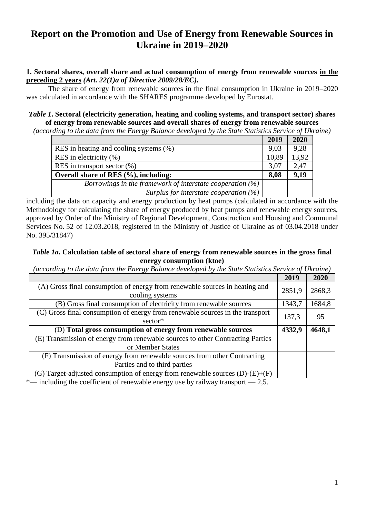# **Report on the Promotion and Use of Energy from Renewable Sources in Ukraine in 2019–2020**

# **1. Sectoral shares, overall share and actual consumption of energy from renewable sources in the preceding 2 years** *(Art. 22(1)a of Directive 2009/28/EC).*

The share of energy from renewable sources in the final consumption in Ukraine in 2019–2020 was calculated in accordance with the SHARES programme developed by Eurostat.

# *Table 1***. Sectoral (electricity generation, heating and cooling systems, and transport sector) shares of energy from renewable sources and overall shares of energy from renewable sources**

*(according to the data from the Energy Balance developed by the State Statistics Service of Ukraine)*

|                                                              | 2019  | 2020  |
|--------------------------------------------------------------|-------|-------|
| RES in heating and cooling systems (%)                       | 9,03  | 9,28  |
| RES in electricity $(\% )$                                   | 10,89 | 13,92 |
| RES in transport sector $(\%)$                               | 3,07  | 2,47  |
| Overall share of RES (%), including:                         | 8,08  | 9,19  |
| Borrowings in the framework of interstate cooperation $(\%)$ |       |       |
| Surplus for interstate cooperation $(\%)$                    |       |       |

including the data on capacity and energy production by heat pumps (calculated in accordance with the Methodology for calculating the share of energy produced by heat pumps and renewable energy sources, approved by Order of the Ministry of Regional Development, Construction and Housing and Communal Services No. 52 of 12.03.2018, registered in the Ministry of Justice of Ukraine as of 03.04.2018 under No. 395/31847)

## *Table 1a.* **Calculation table of sectoral share of energy from renewable sources in the gross final energy consumption (ktoe)**

*(according to the data from the Energy Balance developed by the State Statistics Service of Ukraine)*

|                                                                                | 2019   | 2020   |
|--------------------------------------------------------------------------------|--------|--------|
| (A) Gross final consumption of energy from renewable sources in heating and    | 2851,9 | 2868,3 |
| cooling systems                                                                |        |        |
| (B) Gross final consumption of electricity from renewable sources              | 1343,7 | 1684,8 |
| (C) Gross final consumption of energy from renewable sources in the transport  | 137,3  |        |
| sector*                                                                        |        | 95     |
| (D) Total gross consumption of energy from renewable sources                   | 4332,9 | 4648,1 |
|                                                                                |        |        |
| (E) Transmission of energy from renewable sources to other Contracting Parties |        |        |
| or Member States                                                               |        |        |
| (F) Transmission of energy from renewable sources from other Contracting       |        |        |
| Parties and to third parties                                                   |        |        |
| (G) Target-adjusted consumption of energy from renewable sources $(D)-(E)+(F)$ |        |        |

 $*$ — including the coefficient of renewable energy use by railway transport  $-2.5$ .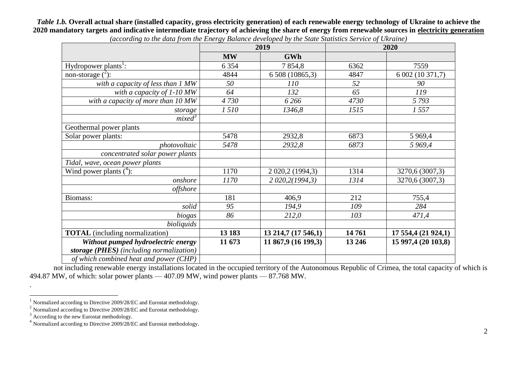*Table 1.b.* **Overall actual share (installed capacity, gross electricity generation) of each renewable energy technology of Ukraine to achieve the 2020 mandatory targets and indicative intermediate trajectory of achieving the share of energy from renewable sources in electricity generation**

|                                          |           | 2019                | 2020    |                     |  |
|------------------------------------------|-----------|---------------------|---------|---------------------|--|
|                                          | <b>MW</b> | <b>GWh</b>          |         |                     |  |
| Hydropower plants <sup>1</sup> :         | 6 3 5 4   | 7 8 5 4, 8          | 6362    | 7559                |  |
| non-storage $(2)$ :                      | 4844      | 6 508 (10865,3)     | 4847    | 6 002 (10 371,7)    |  |
| with a capacity of less than 1 MW        | 50        | 110                 | 52      | 90                  |  |
| with a capacity of $1-10MW$              | 64        | 132                 | 65      | 119                 |  |
| with a capacity of more than 10 MW       | 4730      | 6 2 6 6             | 4730    | 5793                |  |
| storage                                  | 1510      | 1346,8              | 1515    | 1557                |  |
| mixed <sup>3</sup>                       |           |                     |         |                     |  |
| Geothermal power plants                  |           |                     |         |                     |  |
| Solar power plants:                      | 5478      | 2932,8              | 6873    | 5 9 6 9,4           |  |
| photovoltaic                             | 5478      | 2932,8              | 6873    | 5 969,4             |  |
| concentrated solar power plants          |           |                     |         |                     |  |
| Tidal, wave, ocean power plants          |           |                     |         |                     |  |
| Wind power plants $(^4)$ :               | 1170      | 2 020, 2 (1994, 3)  | 1314    | 3270,6 (3007,3)     |  |
| onshore                                  | 1170      | 2 020, 2(1994, 3)   | 1314    | 3270,6 (3007,3)     |  |
| offshore                                 |           |                     |         |                     |  |
| Biomass:                                 | 181       | 406,9               | 212     | 755,4               |  |
| solid                                    | 95        | 194,9               | 109     | 284                 |  |
| biogas                                   | 86        | 212,0               | 103     | 471,4               |  |
| bioliquids                               |           |                     |         |                     |  |
| <b>TOTAL</b> (including normalization)   | 13 183    | 13 214,7 (17 546,1) | 14761   | 17 554,4 (21 924,1) |  |
| Without pumped hydroelectric energy      | 11 673    | 11 867,9 (16 199,3) | 13 24 6 | 15 997,4 (20 103,8) |  |
| storage (PHES) (including normalization) |           |                     |         |                     |  |
| of which combined heat and power (CHP)   |           |                     |         |                     |  |

*(according to the data from the Energy Balance developed by the State Statistics Service of Ukraine)*

not including renewable energy installations located in the occupied territory of the Autonomous Republic of Crimea, the total capacity of which is 494.87 MW, of which: solar power plants — 407.09 MW, wind power plants — 87.768 MW.

.  $\overline{a}$ 

<sup>1</sup> Normalized according to Directive 2009/28/EC and Eurostat methodology.

<sup>&</sup>lt;sup>2</sup> Normalized according to Directive 2009/28/EC and Eurostat methodology.

 $3 \text{ According to the new Eurostat methodology.}$ 

<sup>&</sup>lt;sup>4</sup> Normalized according to Directive 2009/28/EC and Eurostat methodology.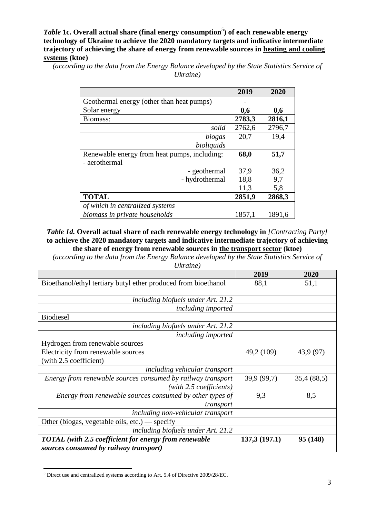*Table* 1c. Overall actual share (final energy consumption<sup>5</sup>) of each renewable energy **technology of Ukraine to achieve the 2020 mandatory targets and indicative intermediate trajectory of achieving the share of energy from renewable sources in heating and cooling systems (ktoe)**

*(according to the data from the Energy Balance developed by the State Statistics Service of Ukraine)*

|                                              | 2019   | 2020   |
|----------------------------------------------|--------|--------|
| Geothermal energy (other than heat pumps)    |        |        |
| Solar energy                                 | 0,6    | 0,6    |
| Biomass:                                     | 2783,3 | 2816,1 |
| solid                                        | 2762,6 | 2796,7 |
| biogas                                       | 20,7   | 19,4   |
| bioliquids                                   |        |        |
| Renewable energy from heat pumps, including: | 68,0   | 51,7   |
| - aerothermal                                |        |        |
| - geothermal                                 | 37,9   | 36,2   |
| - hydrothermal                               | 18,8   | 9,7    |
|                                              | 11,3   | 5,8    |
| <b>TOTAL</b>                                 | 2851,9 | 2868,3 |
| of which in centralized systems              |        |        |
| biomass in private households                | 1857,1 | 1891,6 |

*Table 1d.* **Overall actual share of each renewable energy technology in** *[Contracting Party]* **to achieve the 2020 mandatory targets and indicative intermediate trajectory of achieving the share of energy from renewable sources in the transport sector (ktoe)**

*(according to the data from the Energy Balance developed by the State Statistics Service of* 

| Ukraine) |  |
|----------|--|
|          |  |

|                                                                                        | 2019         | 2020       |
|----------------------------------------------------------------------------------------|--------------|------------|
| Bioethanol/ethyl tertiary butyl ether produced from bioethanol                         | 88,1         | 51,1       |
| including biofuels under Art. 21.2                                                     |              |            |
| <i>including imported</i>                                                              |              |            |
| <b>Biodiesel</b>                                                                       |              |            |
| including biofuels under Art. 21.2                                                     |              |            |
| including imported                                                                     |              |            |
| Hydrogen from renewable sources                                                        |              |            |
| Electricity from renewable sources                                                     | 49,2 (109)   | 43,9 (97)  |
| (with 2.5 coefficient)                                                                 |              |            |
| including vehicular transport                                                          |              |            |
| Energy from renewable sources consumed by railway transport<br>(with 2.5 coefficients) | 39,9 (99,7)  | 35,4(88,5) |
| Energy from renewable sources consumed by other types of<br>transport                  | 9.3          | 8,5        |
| including non-vehicular transport                                                      |              |            |
| Other (biogas, vegetable oils, etc.) — specify                                         |              |            |
| including biofuels under Art. 21.2                                                     |              |            |
| <b>TOTAL</b> (with 2.5 coefficient for energy from renewable                           | 137,3(197.1) | 95 (148)   |
| sources consumed by railway transport)                                                 |              |            |

<sup>5</sup> Direct use and centralized systems according to Art. 5.4 of Directive 2009/28/EC.

 $\overline{a}$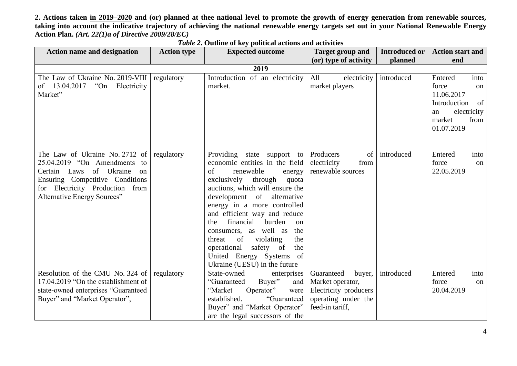**2. Actions taken in 2019–2020 and (or) planned at thee national level to promote the growth of energy generation from renewable sources, taking into account the indicative trajectory of achieving the national renewable energy targets set out in your National Renewable Energy Action Plan.** *(Art. 22(1)a of Directive 2009/28/EC)*

| <b>Action name and designation</b>                                                                                                                                                                                   | <b>Action type</b> | <b>Expected outcome</b>                                                                                                                                                                                                                                                                                                                                                                                                                                                           | <b>Target group and</b>                                                                                     | <b>Introduced or</b> | <b>Action start and</b>                                                                                                 |
|----------------------------------------------------------------------------------------------------------------------------------------------------------------------------------------------------------------------|--------------------|-----------------------------------------------------------------------------------------------------------------------------------------------------------------------------------------------------------------------------------------------------------------------------------------------------------------------------------------------------------------------------------------------------------------------------------------------------------------------------------|-------------------------------------------------------------------------------------------------------------|----------------------|-------------------------------------------------------------------------------------------------------------------------|
|                                                                                                                                                                                                                      |                    |                                                                                                                                                                                                                                                                                                                                                                                                                                                                                   | (or) type of activity                                                                                       | planned              | end                                                                                                                     |
|                                                                                                                                                                                                                      |                    | 2019                                                                                                                                                                                                                                                                                                                                                                                                                                                                              |                                                                                                             |                      |                                                                                                                         |
| The Law of Ukraine No. 2019-VIII<br>13.04.2017<br>"On"<br>Electricity<br>of<br>Market"                                                                                                                               | regulatory         | Introduction of an electricity<br>market.                                                                                                                                                                                                                                                                                                                                                                                                                                         | All<br>electricity<br>market players                                                                        | introduced           | into<br>Entered<br>force<br>on<br>11.06.2017<br>Introduction<br>of<br>electricity<br>an<br>market<br>from<br>01.07.2019 |
| The Law of Ukraine No. 2712 of<br>25.04.2019 "On Amendments to<br>Certain Laws of Ukraine<br>$\alpha$<br>Ensuring Competitive Conditions<br>for Electricity Production<br>from<br><b>Alternative Energy Sources"</b> | regulatory         | Providing state support to<br>economic entities in the field<br>of<br>renewable<br>energy<br>exclusively<br>through<br>quota<br>auctions, which will ensure the<br>development of alternative<br>energy in a more controlled<br>and efficient way and reduce<br>financial<br>burden<br>the<br>on<br>consumers, as well as<br>the<br>threat<br>of<br>violating<br>the<br>safety of<br>operational<br>the<br>United Energy Systems<br><sub>of</sub><br>Ukraine (UESU) in the future | Producers<br>of<br>electricity<br>from<br>renewable sources                                                 | introduced           | Entered<br>into<br>force<br>on<br>22.05.2019                                                                            |
| Resolution of the CMU No. 324 of<br>17.04.2019 "On the establishment of<br>state-owned enterprises "Guaranteed<br>Buyer" and "Market Operator",                                                                      | regulatory         | State-owned<br>enterprises<br>"Guaranteed<br>Buyer"<br>and<br>"Market<br>Operator"<br>were<br>established.<br>"Guaranteed<br>Buyer" and "Market Operator"<br>are the legal successors of the                                                                                                                                                                                                                                                                                      | Guaranteed<br>buyer,<br>Market operator,<br>Electricity producers<br>operating under the<br>feed-in tariff, | introduced           | Entered<br>into<br>force<br>on<br>20.04.2019                                                                            |

*Table 2***. Outline of key political actions and activities**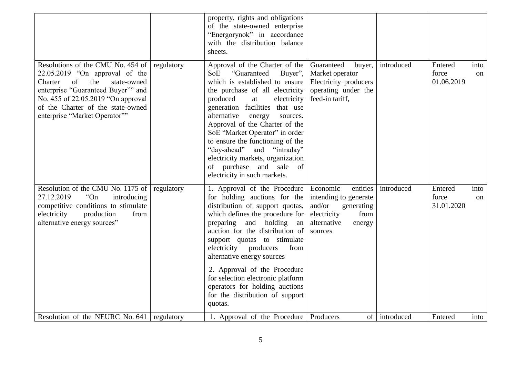|                                                                                                                                                                                                                                                              |            | property, rights and obligations<br>of the state-owned enterprise<br>"Energorynok" in accordance<br>with the distribution balance<br>sheets.                                                                                                                                                                                                                                                                                                                                          |                                                                                                                                  |            |                                |            |
|--------------------------------------------------------------------------------------------------------------------------------------------------------------------------------------------------------------------------------------------------------------|------------|---------------------------------------------------------------------------------------------------------------------------------------------------------------------------------------------------------------------------------------------------------------------------------------------------------------------------------------------------------------------------------------------------------------------------------------------------------------------------------------|----------------------------------------------------------------------------------------------------------------------------------|------------|--------------------------------|------------|
| Resolutions of the CMU No. 454 of<br>22.05.2019 "On approval of the<br>of<br>the<br>Charter<br>state-owned<br>enterprise "Guaranteed Buyer"" and<br>No. 455 of 22.05.2019 "On approval<br>of the Charter of the state-owned<br>enterprise "Market Operator"" | regulatory | Approval of the Charter of the<br>SoE<br>"Guaranteed<br>Buyer",<br>which is established to ensure<br>the purchase of all electricity<br>produced<br>at<br>electricity<br>generation facilities that use<br>alternative<br>energy<br>sources.<br>Approval of the Charter of the<br>SoE "Market Operator" in order<br>to ensure the functioning of the<br>"day-ahead"<br>and "intraday"<br>electricity markets, organization<br>of purchase and sale of<br>electricity in such markets. | Guaranteed<br>buyer,<br>Market operator<br>Electricity producers<br>operating under the<br>feed-in tariff,                       | introduced | Entered<br>force<br>01.06.2019 | into<br>on |
| Resolution of the CMU No. 1175 of<br>"On"<br>27.12.2019<br>introducing<br>competitive conditions to stimulate<br>electricity<br>production<br>from<br>alternative energy sources"                                                                            | regulatory | 1. Approval of the Procedure<br>for holding auctions for the<br>distribution of support quotas,<br>which defines the procedure for<br>preparing and holding<br>an<br>auction for the distribution of<br>support quotas to stimulate<br>electricity producers<br>from<br>alternative energy sources<br>2. Approval of the Procedure<br>for selection electronic platform<br>operators for holding auctions<br>for the distribution of support<br>quotas.                               | Economic<br>entities<br>intending to generate<br>and/or<br>generating<br>electricity<br>from<br>alternative<br>energy<br>sources | introduced | Entered<br>force<br>31.01.2020 | into<br>on |
| Resolution of the NEURC No. 641                                                                                                                                                                                                                              | regulatory | 1. Approval of the Procedure   Producers                                                                                                                                                                                                                                                                                                                                                                                                                                              | of 1                                                                                                                             | introduced | Entered                        | into       |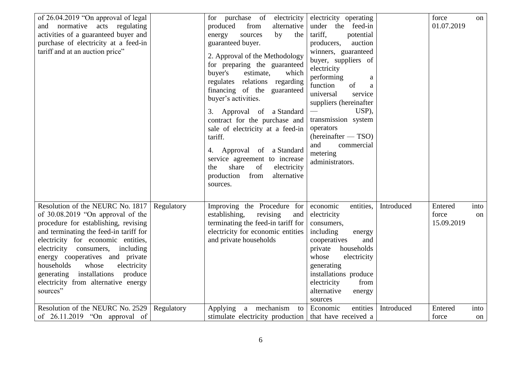| of 26.04.2019 "On approval of legal<br>and normative acts regulating<br>activities of a guaranteed buyer and<br>purchase of electricity at a feed-in<br>tariff and at an auction price"                                                                                                                                                                                                              |            | for purchase of electricity<br>produced<br>from<br>alternative<br>sources<br>energy<br>by<br>the<br>guaranteed buyer.<br>2. Approval of the Methodology<br>for preparing the guaranteed<br>buyer's<br>estimate,<br>which<br>regulates relations regarding<br>financing of the guaranteed<br>buyer's activities.<br>3. Approval of a Standard<br>contract for the purchase and<br>sale of electricity at a feed-in<br>tariff.<br>4. Approval of a Standard<br>service agreement to increase<br>share<br>of<br>electricity<br>the<br>from<br>production<br>alternative<br>sources. | electricity operating<br>under the feed-in<br>tariff,<br>potential<br>producers,<br>auction<br>winners, guaranteed<br>buyer, suppliers of<br>electricity<br>performing<br>a<br>function<br>of<br>a<br>universal<br>service<br>suppliers (hereinafter<br>USP),<br>transmission system<br>operators<br>(hereinafter - TSO)<br>and<br>commercial<br>metering<br>administrators. |            | force<br>01.07.2019            | <sub>on</sub> |
|------------------------------------------------------------------------------------------------------------------------------------------------------------------------------------------------------------------------------------------------------------------------------------------------------------------------------------------------------------------------------------------------------|------------|----------------------------------------------------------------------------------------------------------------------------------------------------------------------------------------------------------------------------------------------------------------------------------------------------------------------------------------------------------------------------------------------------------------------------------------------------------------------------------------------------------------------------------------------------------------------------------|------------------------------------------------------------------------------------------------------------------------------------------------------------------------------------------------------------------------------------------------------------------------------------------------------------------------------------------------------------------------------|------------|--------------------------------|---------------|
| Resolution of the NEURC No. 1817<br>of 30.08.2019 "On approval of the<br>procedure for establishing, revising<br>and terminating the feed-in tariff for<br>electricity for economic entities,<br>electricity consumers, including<br>energy cooperatives and private<br>households<br>whose<br>electricity<br>generating installations<br>produce<br>electricity from alternative energy<br>sources" | Regulatory | Improving the Procedure for<br>establishing,<br>revising<br>and<br>terminating the feed-in tariff for<br>electricity for economic entities<br>and private households                                                                                                                                                                                                                                                                                                                                                                                                             | economic<br>entities,<br>electricity<br>consumers,<br>including<br>energy<br>cooperatives<br>and<br>private<br>households<br>whose<br>electricity<br>generating<br>installations produce<br>electricity<br>from<br>alternative<br>energy<br>sources                                                                                                                          | Introduced | Entered<br>force<br>15.09.2019 | into<br>on    |
| Resolution of the NEURC No. 2529<br>of 26.11.2019 "On approval of                                                                                                                                                                                                                                                                                                                                    | Regulatory | Applying a mechanism<br>to<br>stimulate electricity production   that have received a                                                                                                                                                                                                                                                                                                                                                                                                                                                                                            | Economic<br>entities                                                                                                                                                                                                                                                                                                                                                         | Introduced | Entered<br>force               | into<br>on    |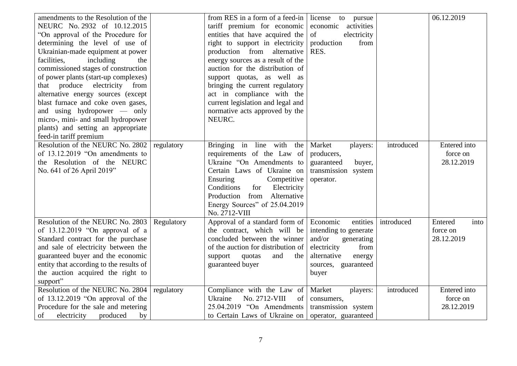| amendments to the Resolution of the<br>NEURC No. 2932 of 10.12.2015<br>"On approval of the Procedure for<br>determining the level of use of<br>Ukrainian-made equipment at power<br>facilities,<br>including<br>the<br>commissioned stages of construction<br>of power plants (start-up complexes)<br>that produce electricity from<br>alternative energy sources (except<br>blast furnace and coke oven gases,<br>and using hydropower — only<br>micro-, mini- and small hydropower<br>plants) and setting an appropriate<br>feed-in tariff premium |            | from RES in a form of a feed-in<br>tariff premium for economic<br>entities that have acquired the<br>right to support in electricity<br>production from alternative<br>energy sources as a result of the<br>auction for the distribution of<br>support quotas, as well as<br>bringing the current regulatory<br>act in compliance with the<br>current legislation and legal and<br>normative acts approved by the<br>NEURC. | license to pursue<br>economic activities<br>of<br>electricity<br>production<br>from<br>RES.                                                           |            | 06.12.2019                                    |
|------------------------------------------------------------------------------------------------------------------------------------------------------------------------------------------------------------------------------------------------------------------------------------------------------------------------------------------------------------------------------------------------------------------------------------------------------------------------------------------------------------------------------------------------------|------------|-----------------------------------------------------------------------------------------------------------------------------------------------------------------------------------------------------------------------------------------------------------------------------------------------------------------------------------------------------------------------------------------------------------------------------|-------------------------------------------------------------------------------------------------------------------------------------------------------|------------|-----------------------------------------------|
| Resolution of the NEURC No. 2802<br>of 13.12.2019 "On amendments to<br>the Resolution of the NEURC<br>No. 641 of 26 April 2019"                                                                                                                                                                                                                                                                                                                                                                                                                      | regulatory | Bringing in line with the<br>requirements of the Law of<br>Ukraine "On Amendments to<br>Certain Laws of Ukraine on<br>Ensuring<br>Competitive<br>Conditions<br>Electricity<br>for<br>Production from Alternative<br>Energy Sources" of 25.04.2019<br>No. 2712-VIII                                                                                                                                                          | Market<br>players:<br>producers,<br>guaranteed<br>buyer,<br>transmission system<br>operator.                                                          | introduced | <b>Entered</b> into<br>force on<br>28.12.2019 |
| Resolution of the NEURC No. 2803<br>of $13.12.2019$ "On approval of a<br>Standard contract for the purchase<br>and sale of electricity between the<br>guaranteed buyer and the economic<br>entity that according to the results of<br>the auction acquired the right to<br>support"                                                                                                                                                                                                                                                                  | Regulatory | Approval of a standard form of<br>the contract, which will be<br>concluded between the winner<br>of the auction for distribution of<br>support<br>and<br>quotas<br>the<br>guaranteed buyer                                                                                                                                                                                                                                  | Economic<br>entities<br>intending to generate<br>and/or<br>generating<br>electricity<br>from<br>alternative<br>energy<br>sources, guaranteed<br>buyer | introduced | Entered<br>into<br>force on<br>28.12.2019     |
| Resolution of the NEURC No. 2804<br>of 13.12.2019 "On approval of the<br>Procedure for the sale and metering<br>produced<br>of<br>electricity<br>by                                                                                                                                                                                                                                                                                                                                                                                                  | regulatory | Compliance with the Law of<br>Ukraine<br>No. 2712-VIII<br>of<br>25.04.2019 "On Amendments<br>to Certain Laws of Ukraine on                                                                                                                                                                                                                                                                                                  | Market<br>players:<br>consumers,<br>transmission system<br>operator, guaranteed                                                                       | introduced | Entered into<br>force on<br>28.12.2019        |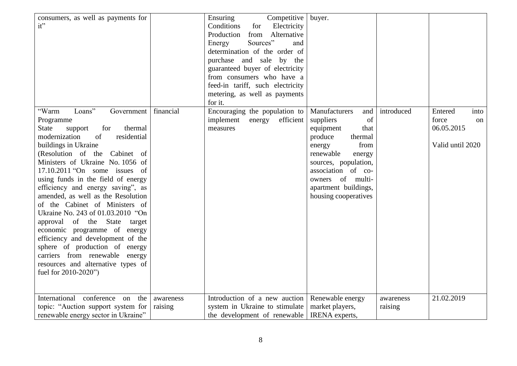| consumers, as well as payments for<br>it"                                                                                                                                                                                                                                                                                                                                                                                                                                                                                                                                                                                                                                             |                      | Ensuring<br>Competitive<br>Conditions<br>Electricity<br>for<br>from Alternative<br>Production<br>Sources"<br>Energy<br>and<br>determination of the order of<br>purchase and sale by the<br>guaranteed buyer of electricity<br>from consumers who have a<br>feed-in tariff, such electricity<br>metering, as well as payments<br>for it. | buyer.                                                                                                                                                                                                                                           |                      |                                                                  |
|---------------------------------------------------------------------------------------------------------------------------------------------------------------------------------------------------------------------------------------------------------------------------------------------------------------------------------------------------------------------------------------------------------------------------------------------------------------------------------------------------------------------------------------------------------------------------------------------------------------------------------------------------------------------------------------|----------------------|-----------------------------------------------------------------------------------------------------------------------------------------------------------------------------------------------------------------------------------------------------------------------------------------------------------------------------------------|--------------------------------------------------------------------------------------------------------------------------------------------------------------------------------------------------------------------------------------------------|----------------------|------------------------------------------------------------------|
| Loans"<br>"Warm<br>Government<br>Programme<br>thermal<br>State<br>for<br>support<br>modernization<br>of<br>residential<br>buildings in Ukraine<br>(Resolution of the Cabinet of<br>Ministers of Ukraine No. 1056 of<br>$17.10.2011$ "On some issues of<br>using funds in the field of energy<br>efficiency and energy saving", as<br>amended, as well as the Resolution<br>of the Cabinet of Ministers of<br>Ukraine No. 243 of 01.03.2010 "On<br>approval of the State target<br>economic programme of energy<br>efficiency and development of the<br>sphere of production of energy<br>carriers from renewable energy<br>resources and alternative types of<br>fuel for 2010-2020") | financial            | Encouraging the population to<br>implement<br>energy<br>efficient<br>measures                                                                                                                                                                                                                                                           | Manufacturers<br>and<br>of<br>suppliers<br>equipment<br>that<br>produce<br>thermal<br>from<br>energy<br>renewable<br>energy<br>sources, population,<br>association of co-<br>of multi-<br>owners<br>apartment buildings,<br>housing cooperatives | introduced           | Entered<br>into<br>force<br>on<br>06.05.2015<br>Valid until 2020 |
| International conference on<br>the<br>topic: "Auction support system for<br>renewable energy sector in Ukraine"                                                                                                                                                                                                                                                                                                                                                                                                                                                                                                                                                                       | awareness<br>raising | Introduction of a new auction<br>system in Ukraine to stimulate<br>the development of renewable                                                                                                                                                                                                                                         | Renewable energy<br>market players,<br>IRENA experts,                                                                                                                                                                                            | awareness<br>raising | 21.02.2019                                                       |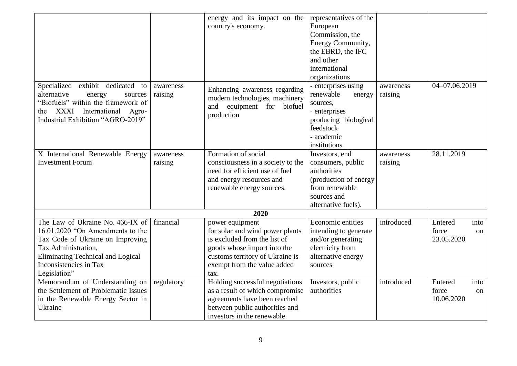|                                          |            | energy and its impact on the      | representatives of the |            |                        |
|------------------------------------------|------------|-----------------------------------|------------------------|------------|------------------------|
|                                          |            | country's economy.                | European               |            |                        |
|                                          |            |                                   | Commission, the        |            |                        |
|                                          |            |                                   | Energy Community,      |            |                        |
|                                          |            |                                   | the EBRD, the IFC      |            |                        |
|                                          |            |                                   | and other              |            |                        |
|                                          |            |                                   | international          |            |                        |
|                                          |            |                                   | organizations          |            |                        |
| Specialized exhibit dedicated to         | awareness  |                                   | - enterprises using    | awareness  | 04-07.06.2019          |
| alternative<br>energy<br>sources         | raising    | Enhancing awareness regarding     | renewable<br>energy    | raising    |                        |
| "Biofuels" within the framework of       |            | modern technologies, machinery    | sources,               |            |                        |
| XXXI International Agro-<br>the          |            | equipment for biofuel<br>and      | - enterprises          |            |                        |
| Industrial Exhibition "AGRO-2019"        |            | production                        | producing biological   |            |                        |
|                                          |            |                                   | feedstock              |            |                        |
|                                          |            |                                   | - academic             |            |                        |
|                                          |            |                                   | institutions           |            |                        |
| X International Renewable Energy         | awareness  | Formation of social               | Investors, end         | awareness  | 28.11.2019             |
| <b>Investment Forum</b>                  | raising    | consciousness in a society to the | consumers, public      | raising    |                        |
|                                          |            | need for efficient use of fuel    | authorities            |            |                        |
|                                          |            | and energy resources and          | (production of energy  |            |                        |
|                                          |            | renewable energy sources.         | from renewable         |            |                        |
|                                          |            |                                   | sources and            |            |                        |
|                                          |            |                                   | alternative fuels).    |            |                        |
|                                          |            | 2020                              |                        |            |                        |
| The Law of Ukraine No. 466-IX of         | financial  | power equipment                   | Economic entities      | introduced | Entered<br>into        |
| 16.01.2020 "On Amendments to the         |            | for solar and wind power plants   | intending to generate  |            | force<br>on            |
| Tax Code of Ukraine on Improving         |            | is excluded from the list of      | and/or generating      |            | 23.05.2020             |
| Tax Administration,                      |            | goods whose import into the       | electricity from       |            |                        |
| <b>Eliminating Technical and Logical</b> |            | customs territory of Ukraine is   | alternative energy     |            |                        |
| Inconsistencies in Tax                   |            | exempt from the value added       | sources                |            |                        |
| Legislation"                             |            | tax.                              |                        |            |                        |
| Memorandum of Understanding on           | regulatory | Holding successful negotiations   | Investors, public      | introduced | Entered<br>into        |
| the Settlement of Problematic Issues     |            | as a result of which compromise   | authorities            |            | force<br><sub>on</sub> |
| in the Renewable Energy Sector in        |            | agreements have been reached      |                        |            | 10.06.2020             |
| Ukraine                                  |            | between public authorities and    |                        |            |                        |
|                                          |            | investors in the renewable        |                        |            |                        |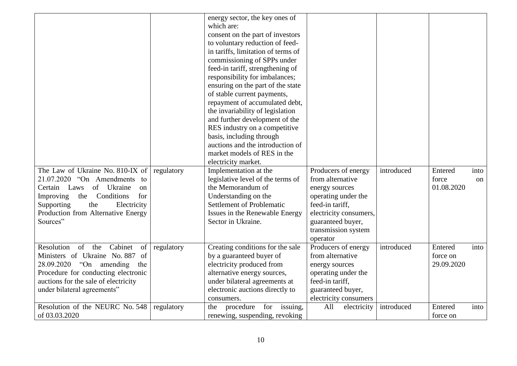| The Law of Ukraine No. 810-IX of<br>$21.07.2020$ "On Amendments to<br>of Ukraine<br>Certain Laws<br><sub>on</sub><br>Improving<br>the Conditions<br>for                                                                  | regulatory | energy sector, the key ones of<br>which are:<br>consent on the part of investors<br>to voluntary reduction of feed-<br>in tariffs, limitation of terms of<br>commissioning of SPPs under<br>feed-in tariff, strengthening of<br>responsibility for imbalances;<br>ensuring on the part of the state<br>of stable current payments,<br>repayment of accumulated debt,<br>the invariability of legislation<br>and further development of the<br>RES industry on a competitive<br>basis, including through<br>auctions and the introduction of<br>market models of RES in the<br>electricity market.<br>Implementation at the<br>legislative level of the terms of<br>the Memorandum of<br>Understanding on the | Producers of energy<br>from alternative<br>energy sources<br>operating under the                                                                  | introduced | Entered<br>force<br>01.08.2020    | into<br>on |
|--------------------------------------------------------------------------------------------------------------------------------------------------------------------------------------------------------------------------|------------|--------------------------------------------------------------------------------------------------------------------------------------------------------------------------------------------------------------------------------------------------------------------------------------------------------------------------------------------------------------------------------------------------------------------------------------------------------------------------------------------------------------------------------------------------------------------------------------------------------------------------------------------------------------------------------------------------------------|---------------------------------------------------------------------------------------------------------------------------------------------------|------------|-----------------------------------|------------|
| Supporting<br>the<br>Electricity<br>Production from Alternative Energy<br>Sources"                                                                                                                                       |            | <b>Settlement of Problematic</b><br>Issues in the Renewable Energy<br>Sector in Ukraine.                                                                                                                                                                                                                                                                                                                                                                                                                                                                                                                                                                                                                     | feed-in tariff,<br>electricity consumers,<br>guaranteed buyer,<br>transmission system<br>operator                                                 |            |                                   |            |
| Resolution<br>of the<br>Cabinet<br>of<br>Ministers of Ukraine No. 887 of<br>28.09.2020 "On amending<br>the<br>Procedure for conducting electronic<br>auctions for the sale of electricity<br>under bilateral agreements" | regulatory | Creating conditions for the sale<br>by a guaranteed buyer of<br>electricity produced from<br>alternative energy sources,<br>under bilateral agreements at<br>electronic auctions directly to<br>consumers.                                                                                                                                                                                                                                                                                                                                                                                                                                                                                                   | Producers of energy<br>from alternative<br>energy sources<br>operating under the<br>feed-in tariff,<br>guaranteed buyer,<br>electricity consumers | introduced | Entered<br>force on<br>29.09.2020 | into       |
| Resolution of the NEURC No. 548<br>of 03.03.2020                                                                                                                                                                         | regulatory | procedure for issuing,<br>the<br>renewing, suspending, revoking                                                                                                                                                                                                                                                                                                                                                                                                                                                                                                                                                                                                                                              | All<br>electricity                                                                                                                                | introduced | Entered<br>force on               | into       |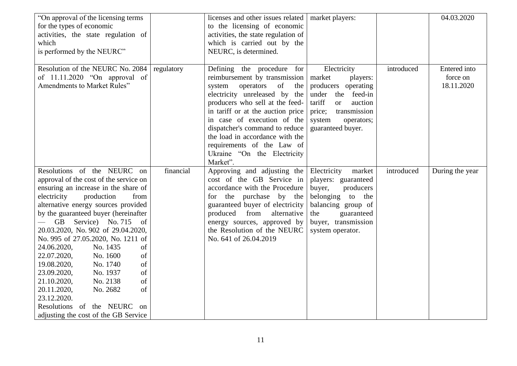| "On approval of the licensing terms"<br>for the types of economic<br>activities, the state regulation of<br>which<br>is performed by the NEURC"                                                                                                                                                                                                                                                                                                                                                                                                                                                                                     |            | licenses and other issues related   market players:<br>to the licensing of economic<br>activities, the state regulation of<br>which is carried out by the<br>NEURC, is determined.                                                                                                                                                                                                        |                                                                                                                                                                               |            | 04.03.2020                             |
|-------------------------------------------------------------------------------------------------------------------------------------------------------------------------------------------------------------------------------------------------------------------------------------------------------------------------------------------------------------------------------------------------------------------------------------------------------------------------------------------------------------------------------------------------------------------------------------------------------------------------------------|------------|-------------------------------------------------------------------------------------------------------------------------------------------------------------------------------------------------------------------------------------------------------------------------------------------------------------------------------------------------------------------------------------------|-------------------------------------------------------------------------------------------------------------------------------------------------------------------------------|------------|----------------------------------------|
| Resolution of the NEURC No. 2084<br>of 11.11.2020 "On approval of<br>Amendments to Market Rules"                                                                                                                                                                                                                                                                                                                                                                                                                                                                                                                                    | regulatory | Defining the procedure for<br>reimbursement by transmission   market<br>operators of the<br>system<br>electricity unreleased by the<br>producers who sell at the feed-<br>in tariff or at the auction price<br>in case of execution of the<br>dispatcher's command to reduce<br>the load in accordance with the<br>requirements of the Law of<br>Ukraine "On the Electricity"<br>Market". | Electricity<br>players:<br>producers operating<br>under the feed-in<br>tariff<br>auction<br><b>or</b><br>transmission<br>price;<br>operators;<br>system<br>guaranteed buyer.  | introduced | Entered into<br>force on<br>18.11.2020 |
| Resolutions of the NEURC on<br>approval of the cost of the service on<br>ensuring an increase in the share of<br>electricity<br>production<br>from<br>alternative energy sources provided<br>by the guaranteed buyer (hereinafter<br>GB Service) No. 715 of<br>20.03.2020, No. 902 of 29.04.2020,<br>No. 995 of 27.05.2020, No. 1211 of<br>24.06.2020,<br>No. 1435<br>of<br>No. 1600<br>22.07.2020,<br>of<br>No. 1740<br>of<br>19.08.2020,<br>No. 1937<br>of<br>23.09.2020,<br>No. 2138<br>21.10.2020,<br>of<br>No. 2682<br>of<br>20.11.2020,<br>23.12.2020.<br>Resolutions of the NEURC on<br>adjusting the cost of the GB Service | financial  | Approving and adjusting the<br>cost of the GB Service in<br>accordance with the Procedure<br>for the purchase by the<br>guaranteed buyer of electricity<br>produced from<br>alternative<br>energy sources, approved by<br>the Resolution of the NEURC<br>No. 641 of 26.04.2019                                                                                                            | Electricity<br>market<br>players: guaranteed<br>buyer,<br>producers<br>belonging to the<br>balancing group of<br>the<br>guaranteed<br>buyer, transmission<br>system operator. | introduced | During the year                        |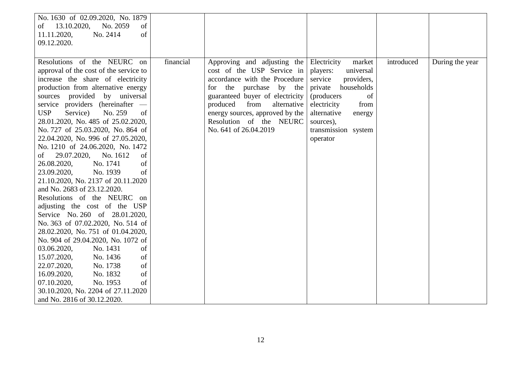| No. 1630 of 02.09.2020, No. 1879        |           |                                 |                       |            |                 |
|-----------------------------------------|-----------|---------------------------------|-----------------------|------------|-----------------|
| 13.10.2020,<br>No. 2059<br>of<br>οf     |           |                                 |                       |            |                 |
| 11.11.2020,<br>No. 2414<br>of           |           |                                 |                       |            |                 |
| 09.12.2020.                             |           |                                 |                       |            |                 |
|                                         |           |                                 |                       |            |                 |
| Resolutions of the NEURC on             | financial | Approving and adjusting the     | Electricity<br>market | introduced | During the year |
| approval of the cost of the service to  |           | cost of the USP Service in      | players:<br>universal |            |                 |
| increase the share of electricity       |           | accordance with the Procedure   | service<br>providers, |            |                 |
| production from alternative energy      |           | for the purchase by the         | private<br>households |            |                 |
| sources provided by universal           |           | guaranteed buyer of electricity | (producers)<br>of     |            |                 |
| service providers (hereinafter -        |           | produced<br>from<br>alternative | electricity<br>from   |            |                 |
| <b>USP</b><br>Service)<br>No. 259<br>of |           | energy sources, approved by the | alternative<br>energy |            |                 |
| 28.01.2020, No. 485 of 25.02.2020,      |           | Resolution of the NEURC         | sources),             |            |                 |
| No. 727 of 25.03.2020, No. 864 of       |           | No. 641 of 26.04.2019           | transmission system   |            |                 |
| 22.04.2020, No. 996 of 27.05.2020,      |           |                                 | operator              |            |                 |
| No. 1210 of 24.06.2020, No. 1472        |           |                                 |                       |            |                 |
| 29.07.2020,<br>No. 1612<br>of<br>of     |           |                                 |                       |            |                 |
| of<br>26.08.2020,<br>No. 1741           |           |                                 |                       |            |                 |
| of<br>23.09.2020,<br>No. 1939           |           |                                 |                       |            |                 |
| 21.10.2020, No. 2137 of 20.11.2020      |           |                                 |                       |            |                 |
| and No. 2683 of 23.12.2020.             |           |                                 |                       |            |                 |
| Resolutions of the NEURC on             |           |                                 |                       |            |                 |
| adjusting the cost of the USP           |           |                                 |                       |            |                 |
| Service No. 260 of 28.01.2020,          |           |                                 |                       |            |                 |
| No. 363 of 07.02.2020, No. 514 of       |           |                                 |                       |            |                 |
| 28.02.2020, No. 751 of 01.04.2020,      |           |                                 |                       |            |                 |
| No. 904 of 29.04.2020, No. 1072 of      |           |                                 |                       |            |                 |
| 03.06.2020,<br>No. 1431<br>of           |           |                                 |                       |            |                 |
| No. 1436<br>of<br>15.07.2020,           |           |                                 |                       |            |                 |
| of<br>No. 1738<br>22.07.2020,           |           |                                 |                       |            |                 |
| of<br>No. 1832<br>16.09.2020,           |           |                                 |                       |            |                 |
| No. 1953<br>of<br>07.10.2020,           |           |                                 |                       |            |                 |
| 30.10.2020, No. 2204 of 27.11.2020      |           |                                 |                       |            |                 |
| and No. 2816 of 30.12.2020.             |           |                                 |                       |            |                 |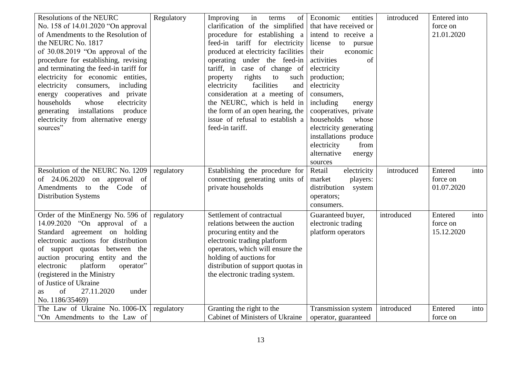| <b>Resolutions of the NEURC</b><br>No. 158 of 14.01.2020 "On approval" | Regulatory | Improving<br>in<br>terms<br>of<br>clarification of the simplified | Economic<br>entities<br>that have received or | introduced | Entered into<br>force on |      |
|------------------------------------------------------------------------|------------|-------------------------------------------------------------------|-----------------------------------------------|------------|--------------------------|------|
| of Amendments to the Resolution of                                     |            | procedure for establishing a                                      | intend to receive a                           |            | 21.01.2020               |      |
| the NEURC No. 1817                                                     |            | feed-in tariff for electricity                                    | license<br>to pursue                          |            |                          |      |
| of 30.08.2019 "On approval of the                                      |            | produced at electricity facilities                                | their<br>economic                             |            |                          |      |
| procedure for establishing, revising                                   |            | operating under the feed-in                                       | activities<br>of                              |            |                          |      |
| and terminating the feed-in tariff for                                 |            | tariff, in case of change of                                      | electricity                                   |            |                          |      |
| electricity for economic entities,                                     |            | property<br>rights<br>to<br>such                                  | production;                                   |            |                          |      |
| electricity consumers,<br>including                                    |            | electricity<br>facilities<br>and                                  | electricity                                   |            |                          |      |
| energy cooperatives and private                                        |            | consideration at a meeting of                                     | consumers,                                    |            |                          |      |
| households<br>whose<br>electricity                                     |            | the NEURC, which is held in                                       | including<br>energy                           |            |                          |      |
| generating installations<br>produce                                    |            | the form of an open hearing, the                                  | cooperatives, private                         |            |                          |      |
| electricity from alternative energy                                    |            | issue of refusal to establish a                                   | households<br>whose                           |            |                          |      |
| sources"                                                               |            | feed-in tariff.                                                   | electricity generating                        |            |                          |      |
|                                                                        |            |                                                                   | installations produce                         |            |                          |      |
|                                                                        |            |                                                                   | electricity<br>from                           |            |                          |      |
|                                                                        |            |                                                                   | alternative<br>energy                         |            |                          |      |
|                                                                        |            |                                                                   | sources                                       |            |                          |      |
| Resolution of the NEURC No. 1209                                       | regulatory | Establishing the procedure for                                    | electricity<br>Retail                         | introduced | Entered                  | into |
| of $24.06.2020$ on approval of                                         |            | connecting generating units of                                    | market<br>players:                            |            | force on                 |      |
| Amendments to the Code<br>of                                           |            | private households                                                | distribution<br>system                        |            | 01.07.2020               |      |
| <b>Distribution Systems</b>                                            |            |                                                                   | operators;                                    |            |                          |      |
|                                                                        |            |                                                                   | consumers.                                    |            |                          |      |
| Order of the MinEnergy No. 596 of                                      | regulatory | Settlement of contractual                                         | Guaranteed buyer,                             | introduced | Entered                  | into |
| 14.09.2020 "On approval of a                                           |            | relations between the auction                                     | electronic trading                            |            | force on                 |      |
| Standard agreement on holding                                          |            | procuring entity and the                                          | platform operators                            |            | 15.12.2020               |      |
| electronic auctions for distribution                                   |            | electronic trading platform                                       |                                               |            |                          |      |
| of support quotas between the                                          |            | operators, which will ensure the                                  |                                               |            |                          |      |
| auction procuring entity and the                                       |            | holding of auctions for                                           |                                               |            |                          |      |
| operator"<br>electronic<br>platform                                    |            | distribution of support quotas in                                 |                                               |            |                          |      |
| (registered in the Ministry                                            |            | the electronic trading system.                                    |                                               |            |                          |      |
| of Justice of Ukraine                                                  |            |                                                                   |                                               |            |                          |      |
| of<br>27.11.2020<br>under<br>as                                        |            |                                                                   |                                               |            |                          |      |
| No. 1186/35469)                                                        |            |                                                                   |                                               |            |                          |      |
| The Law of Ukraine No. 1006-IX                                         | regulatory | Granting the right to the                                         | Transmission system                           | introduced | Entered                  | into |
| "On Amendments to the Law of                                           |            | Cabinet of Ministers of Ukraine                                   | operator, guaranteed                          |            | force on                 |      |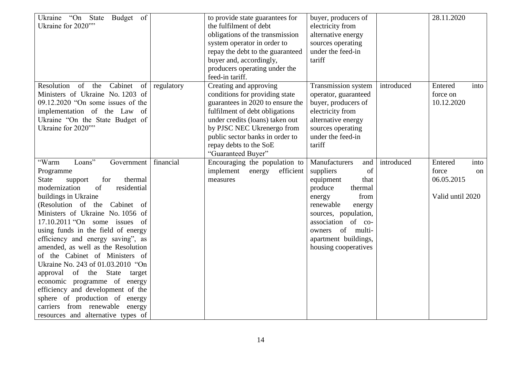| Budget of<br>Ukraine<br>"On State"<br>Ukraine for 2020""                                                                                                                                                                                                                                                                                                                                                                                                                                                                                                                                                                                                                 |            | to provide state guarantees for<br>the fulfilment of debt<br>obligations of the transmission<br>system operator in order to<br>repay the debt to the guaranteed<br>buyer and, accordingly,<br>producers operating under the<br>feed-in tariff.                                     | buyer, producers of<br>electricity from<br>alternative energy<br>sources operating<br>under the feed-in<br>tariff                                                                                                                             |            | 28.11.2020                                                       |
|--------------------------------------------------------------------------------------------------------------------------------------------------------------------------------------------------------------------------------------------------------------------------------------------------------------------------------------------------------------------------------------------------------------------------------------------------------------------------------------------------------------------------------------------------------------------------------------------------------------------------------------------------------------------------|------------|------------------------------------------------------------------------------------------------------------------------------------------------------------------------------------------------------------------------------------------------------------------------------------|-----------------------------------------------------------------------------------------------------------------------------------------------------------------------------------------------------------------------------------------------|------------|------------------------------------------------------------------|
| Resolution of the<br>Cabinet<br>of<br>Ministers of Ukraine No. 1203 of<br>09.12.2020 "On some issues of the<br>implementation of the Law of<br>Ukraine "On the State Budget of<br>Ukraine for 2020""                                                                                                                                                                                                                                                                                                                                                                                                                                                                     | regulatory | Creating and approving<br>conditions for providing state<br>guarantees in 2020 to ensure the<br>fulfilment of debt obligations<br>under credits (loans) taken out<br>by PJSC NEC Ukrenergo from<br>public sector banks in order to<br>repay debts to the SoE<br>"Guaranteed Buyer" | Transmission system<br>operator, guaranteed<br>buyer, producers of<br>electricity from<br>alternative energy<br>sources operating<br>under the feed-in<br>tariff                                                                              | introduced | Entered<br>into<br>force on<br>10.12.2020                        |
| Loans"<br>"Warm<br>Government<br>Programme<br><b>State</b><br>for<br>thermal<br>support<br>modernization<br>residential<br>of<br>buildings in Ukraine<br>(Resolution of the Cabinet of<br>Ministers of Ukraine No. 1056 of<br>17.10.2011 "On some issues of<br>using funds in the field of energy<br>efficiency and energy saving", as<br>amended, as well as the Resolution<br>of the Cabinet of Ministers of<br>Ukraine No. 243 of 01.03.2010 "On<br>approval<br>of the State<br>target<br>economic programme of energy<br>efficiency and development of the<br>sphere of production of energy<br>carriers from renewable energy<br>resources and alternative types of | financial  | Encouraging the population to<br>implement energy<br>efficient<br>measures                                                                                                                                                                                                         | Manufacturers<br>and<br>suppliers<br>of<br>equipment<br>that<br>produce<br>thermal<br>from<br>energy<br>renewable<br>energy<br>sources, population,<br>association of co-<br>owners of multi-<br>apartment buildings,<br>housing cooperatives | introduced | Entered<br>into<br>force<br>on<br>06.05.2015<br>Valid until 2020 |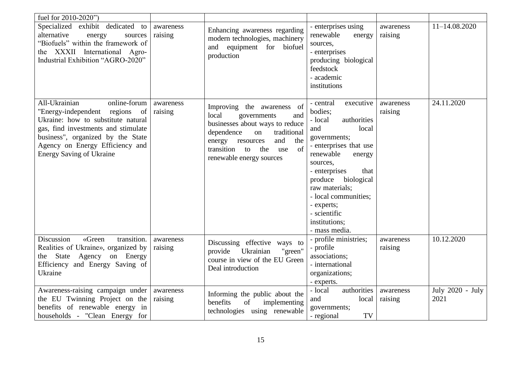| fuel for 2010-2020")                                                                                                                                                                                                                                    |                      |                                                                                                                                                                                                                                    |                                                                                                                                                                                                                                                                                                                      |                      |                          |
|---------------------------------------------------------------------------------------------------------------------------------------------------------------------------------------------------------------------------------------------------------|----------------------|------------------------------------------------------------------------------------------------------------------------------------------------------------------------------------------------------------------------------------|----------------------------------------------------------------------------------------------------------------------------------------------------------------------------------------------------------------------------------------------------------------------------------------------------------------------|----------------------|--------------------------|
| Specialized exhibit dedicated to<br>alternative<br>energy<br>sources<br>"Biofuels" within the framework of<br>the XXXII International Agro-<br>Industrial Exhibition "AGRO-2020"                                                                        | awareness<br>raising | Enhancing awareness regarding<br>modern technologies, machinery<br>equipment for biofuel<br>and<br>production                                                                                                                      | - enterprises using<br>renewable<br>energy<br>sources,<br>- enterprises<br>producing biological<br>feedstock<br>- academic<br>institutions                                                                                                                                                                           | awareness<br>raising | 11-14.08.2020            |
| All-Ukrainian<br>online-forum<br>"Energy-independent regions of<br>Ukraine: how to substitute natural<br>gas, find investments and stimulate<br>business", organized by the State<br>Agency on Energy Efficiency and<br><b>Energy Saving of Ukraine</b> | awareness<br>raising | Improving the awareness of<br>local<br>governments<br>and<br>businesses about ways to reduce<br>dependence<br>traditional<br>on<br>and<br>energy resources<br>the<br>transition to<br>of<br>the<br>use<br>renewable energy sources | executive<br>- central<br>bodies;<br>- local<br>authorities<br>local<br>and<br>governments;<br>- enterprises that use<br>renewable<br>energy<br>sources,<br>that<br>- enterprises<br>biological<br>produce<br>raw materials;<br>- local communities;<br>- experts;<br>- scientific<br>institutions;<br>- mass media. | awareness<br>raising | 24.11.2020               |
| <b>Discussion</b><br>«Green<br>transition.<br>Realities of Ukraine», organized by<br>the State Agency on Energy<br>Efficiency and Energy Saving of<br>Ukraine                                                                                           | awareness<br>raising | Discussing effective ways to<br>Ukrainian<br>"green"<br>provide<br>course in view of the EU Green<br>Deal introduction                                                                                                             | - profile ministries;<br>- profile<br>associations;<br>- international<br>organizations;<br>- experts.                                                                                                                                                                                                               | awareness<br>raising | 10.12.2020               |
| Awareness-raising campaign under<br>the EU Twinning Project on the<br>benefits of renewable energy in<br>households - "Clean Energy for                                                                                                                 | awareness<br>raising | Informing the public about the<br>implementing<br>benefits<br>of<br>technologies using renewable                                                                                                                                   | - local<br>authorities<br>and<br>local<br>governments;<br>TV<br>- regional                                                                                                                                                                                                                                           | awareness<br>raising | July 2020 - July<br>2021 |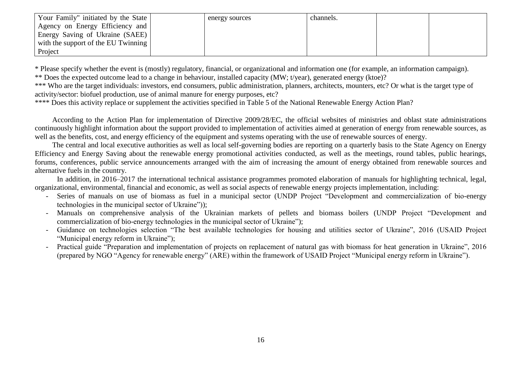| Your Family" initiated by the State | energy sources | channels. |  |
|-------------------------------------|----------------|-----------|--|
| Agency on Energy Efficiency and     |                |           |  |
| Energy Saving of Ukraine (SAEE)     |                |           |  |
| with the support of the EU Twinning |                |           |  |
| Project                             |                |           |  |

\* Please specify whether the event is (mostly) regulatory, financial, or organizational and information one (for example, an information campaign). \*\* Does the expected outcome lead to a change in behaviour, installed capacity (MW; t/year), generated energy (ktoe)?

\*\*\* Who are the target individuals: investors, end consumers, public administration, planners, architects, mounters, etc? Or what is the target type of activity/sector: biofuel production, use of animal manure for energy purposes, etc?

\*\*\*\* Does this activity replace or supplement the activities specified in Table 5 of the National Renewable Energy Action Plan?

According to the Action Plan for implementation of Directive 2009/28/EC, the official websites of ministries and oblast state administrations continuously highlight information about the support provided to implementation of activities aimed at generation of energy from renewable sources, as well as the benefits, cost, and energy efficiency of the equipment and systems operating with the use of renewable sources of energy.

The central and local executive authorities as well as local self-governing bodies are reporting on a quarterly basis to the State Agency on Energy Efficiency and Energy Saving about the renewable energy promotional activities conducted, as well as the meetings, round tables, public hearings, forums, conferences, public service announcements arranged with the aim of increasing the amount of energy obtained from renewable sources and alternative fuels in the country.

In addition, in 2016–2017 the international technical assistance programmes promoted elaboration of manuals for highlighting technical, legal, organizational, environmental, financial and economic, as well as social aspects of renewable energy projects implementation, including:

- Series of manuals on use of biomass as fuel in a municipal sector (UNDP Project "Development and commercialization of bio-energy [technologies in the municipal sector of Ukraine"\)\)](http://bioenergy.in.ua/);
- Manuals on comprehensive analysis of the Ukrainian markets of pellets and biomass boilers [\(UNDP Project "Development and](http://bioenergy.in.ua/)  [commercialization of bio-energy technologies in the municipal sector of Ukraine"\)](http://bioenergy.in.ua/);
- Guidance on technologies selection "The best available technologies for housing and utilities sector of Ukraine", 2016 (USAID Project "Municipal energy reform in Ukraine"):
- Practical guide "Preparation and implementation of projects on replacement of natural gas with biomass for heat generation in Ukraine", 2016 (prepared by NGO "Agency for renewable energy" (ARE) within the framework of USAID Project "Municipal energy reform in Ukraine").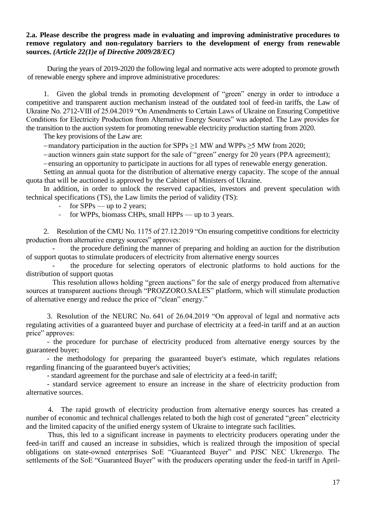### **2.a. Please describe the progress made in evaluating and improving administrative procedures to remove regulatory and non-regulatory barriers to the development of energy from renewable sources.** *(Article 22(1)e of Directive 2009/28/EC)*

During the years of 2019-2020 the following legal and normative acts were adopted to promote growth of renewable energy sphere and improve administrative procedures:

1. Given the global trends in promoting development of "green" energy in order to introduce a competitive and transparent auction mechanism instead of the outdated tool of feed-in tariffs, the Law of Ukraine No. 2712-VIII of 25.04.2019 "On Amendments to Certain Laws of Ukraine on Ensuring Competitive Conditions for Electricity Production from Alternative Energy Sources" was adopted. The Law provides for the transition to the auction system for promoting renewable electricity production starting from 2020.

The key provisions of the Law are:

-mandatory participation in the auction for SPPs  $\geq$ 1 MW and WPPs  $\geq$ 5 MW from 2020;

auction winners gain state support for the sale of "green" energy for 20 years (PPA agreement);

ensuring an opportunity to participate in auctions for all types of renewable energy generation.

Setting an annual quota for the distribution of alternative energy capacity. The scope of the annual quota that will be auctioned is approved by the Cabinet of Ministers of Ukraine.

In addition, in order to unlock the reserved capacities, investors and prevent speculation with technical specifications (TS), the Law limits the period of validity (TS):

- for  $SPPs$  up to 2 years;
- for WPPs, biomass CHPs, small HPPs up to 3 years.

2. Resolution of the CMU No. 1175 of 27.12.2019 "On ensuring competitive conditions for electricity production from alternative energy sources" approves:

[the procedure](https://zakon.rada.gov.ua/laws/show/1175-2019-%D0%BF#n12) defining the manner of preparing and holding an auction for the distribution of support quotas to stimulate producers of electricity from alternative energy sources

the procedure for selecting operators of electronic platforms to hold auctions for the [distribution of support quotas](https://zakon.rada.gov.ua/laws/show/1175-2019-%D0%BF#n291)

This resolution allows holding "green auctions" for the sale of energy produced from alternative sources at transparent auctions through "PROZZORO.SALES" platform, which will stimulate production of alternative energy and reduce the price of "clean" energy."

3. Resolution of the NEURC No. 641 of 26.04.2019 "On approval of legal and normative acts regulating activities of a guaranteed buyer and purchase of electricity at a feed-in tariff and at an auction price" approves:

- the procedure for purchase of electricity produced from alternative energy sources by the guaranteed buyer;

- the methodology for preparing the guaranteed buyer's estimate, which regulates relations regarding financing of the guaranteed buyer's activities;

- [standard agreement for the purchase and sale of electricity at a feed-in tariff;](https://zakon.rada.gov.ua/laws/show/v0641874-19#n231)

- standard service [agreement to ensure an increase in the share of electricity production from](https://zakon.rada.gov.ua/laws/show/v0641874-19#n234)  [alternative sources.](https://zakon.rada.gov.ua/laws/show/v0641874-19#n234)

4. The rapid growth of electricity production from alternative energy sources has created a number of economic and technical challenges related to both the high cost of generated "green" electricity and the limited capacity of the unified energy system of Ukraine to integrate such facilities.

Thus, this led to a significant increase in payments to electricity producers operating under the feed-in tariff and caused an increase in subsidies, which is realized through the imposition of special obligations on state-owned enterprises SoE "Guaranteed Buyer" and PJSC NEC Ukrenergo. The settlements of the SoE "Guaranteed Buyer" with the producers operating under the feed-in tariff in April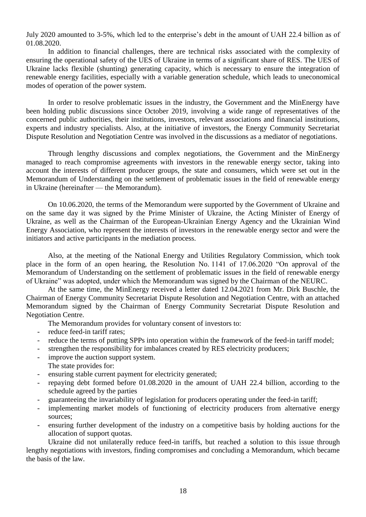July 2020 amounted to 3-5%, which led to the enterprise's debt in the amount of UAH 22.4 billion as of 01.08.2020.

In addition to financial challenges, there are technical risks associated with the complexity of ensuring the operational safety of the UES of Ukraine in terms of a significant share of RES. The UES of Ukraine lacks flexible (shunting) generating capacity, which is necessary to ensure the integration of renewable energy facilities, especially with a variable generation schedule, which leads to uneconomical modes of operation of the power system.

In order to resolve problematic issues in the industry, the Government and the MinEnergy have been holding public discussions since October 2019, involving a wide range of representatives of the concerned public authorities, their institutions, investors, relevant associations and financial institutions, experts and industry specialists. Also, at the initiative of investors, the Energy Community Secretariat Dispute Resolution and Negotiation Centre was involved in the discussions as a mediator of negotiations.

Through lengthy discussions and complex negotiations, the Government and the MinEnergy managed to reach compromise agreements with investors in the renewable energy sector, taking into account the interests of different producer groups, the state and consumers, which were set out in the Memorandum of Understanding on the settlement of problematic issues in the field of renewable energy in Ukraine (hereinafter — the Memorandum).

On 10.06.2020, the terms of the Memorandum were supported by the Government of Ukraine and on the same day it was signed by the Prime Minister of Ukraine, the Acting Minister of Energy of Ukraine, as well as the Chairman of the European-Ukrainian Energy Agency and the Ukrainian Wind Energy Association, who represent the interests of investors in the renewable energy sector and were the initiators and active participants in the mediation process.

Also, at the meeting of the National Energy and Utilities Regulatory Commission, which took place in the form of an open hearing, the Resolution No. 1141 of 17.06.2020 "On approval of the Memorandum of Understanding on the settlement of problematic issues in the field of renewable energy of Ukraine" was adopted, under which the Memorandum was signed by the Chairman of the NEURC.

At the same time, the MinEnergy received a letter dated 12.04.2021 from Mr. Dirk Buschle, the Chairman of Energy Community Secretariat Dispute Resolution and Negotiation Centre, with an attached Memorandum signed by the Chairman of Energy Community Secretariat Dispute Resolution and Negotiation Centre.

The Memorandum provides for voluntary consent of investors to:

- reduce feed-in tariff rates;
- reduce the terms of putting SPPs into operation within the framework of the feed-in tariff model:
- strengthen the responsibility for imbalances created by RES electricity producers;
- improve the auction support system. The state provides for:
- ensuring stable current payment for electricity generated;
- repaying debt formed before 01.08.2020 in the amount of UAH 22.4 billion, according to the schedule agreed by the parties
- guaranteeing the invariability of legislation for producers operating under the feed-in tariff;
- implementing market models of functioning of electricity producers from alternative energy sources;
- ensuring further development of the industry on a competitive basis by holding auctions for the allocation of support quotas.

Ukraine did not unilaterally reduce feed-in tariffs, but reached a solution to this issue through lengthy negotiations with investors, finding compromises and concluding a Memorandum, which became the basis of the law.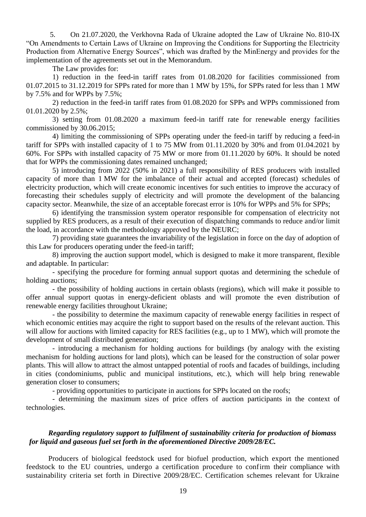5. On 21.07.2020, the Verkhovna Rada of Ukraine adopted the Law of Ukraine No. 810-ІХ "On Amendments to Certain Laws of Ukraine on Improving the Conditions for Supporting the Electricity Production from Alternative Energy Sources", which was drafted by the MinEnergy and provides for the implementation of the agreements set out in the Memorandum.

The Law provides for:

1) reduction in the feed-in tariff rates from 01.08.2020 for facilities commissioned from 01.07.2015 to 31.12.2019 for SPPs rated for more than 1 MW by 15%, for SPPs rated for less than 1 MW by 7.5% and for WPPs by 7.5%;

2) reduction in the feed-in tariff rates from 01.08.2020 for SPPs and WPPs commissioned from 01.01.2020 by 2.5%;

3) setting from 01.08.2020 a maximum feed-in tariff rate for renewable energy facilities commissioned by 30.06.2015;

4) limiting the commissioning of SPPs operating under the feed-in tariff by reducing a feed-in tariff for SPPs with installed capacity of 1 to 75 MW from 01.11.2020 by 30% and from 01.04.2021 by 60%. For SPPs with installed capacity of 75 MW or more from 01.11.2020 by 60%. It should be noted that for WPPs the commissioning dates remained unchanged;

5) introducing from 2022 (50% in 2021) a full responsibility of RES producers with installed capacity of more than 1 MW for the imbalance of their actual and accepted (forecast) schedules of electricity production, which will create economic incentives for such entities to improve the accuracy of forecasting their schedules supply of electricity and will promote the development of the balancing capacity sector. Meanwhile, the size of an acceptable forecast error is 10% for WPPs and 5% for SPPs;

6) identifying the transmission system operator responsible for compensation of electricity not supplied by RES producers, as a result of their execution of dispatching commands to reduce and/or limit the load, in accordance with the methodology approved by the NEURC;

7) providing state guarantees the invariability of the legislation in force on the day of adoption of this Law for producers operating under the feed-in tariff;

8) improving the auction support model, which is designed to make it more transparent, flexible and adaptable. In particular:

- specifying the procedure for forming annual support quotas and determining the schedule of holding auctions:

- the possibility of holding auctions in certain oblasts (regions), which will make it possible to offer annual support quotas in energy-deficient oblasts and will promote the even distribution of renewable energy facilities throughout Ukraine;

- the possibility to determine the maximum capacity of renewable energy facilities in respect of which economic entities may acquire the right to support based on the results of the relevant auction. This will allow for auctions with limited capacity for RES facilities (e.g., up to 1 MW), which will promote the development of small distributed generation;

- introducing a mechanism for holding auctions for buildings (by analogy with the existing mechanism for holding auctions for land plots), which can be leased for the construction of solar power plants. This will allow to attract the almost untapped potential of roofs and facades of buildings, including in cities (condominiums, public and municipal institutions, etc.), which will help bring renewable generation closer to consumers;

- providing opportunities to participate in auctions for SPPs located on the roofs;

- determining the maximum sizes of price offers of auction participants in the context of technologies.

## *Regarding regulatory support to fulfilment of sustainability criteria for production of biomass for liquid and gaseous fuel set forth in the aforementioned Directive 2009/28/EC.*

Producers of biological feedstock used for biofuel production, which export the mentioned feedstock to the EU countries, undergo a certification procedure to confirm their compliance with sustainability criteria set forth in Directive 2009/28/EC. Certification schemes relevant for Ukraine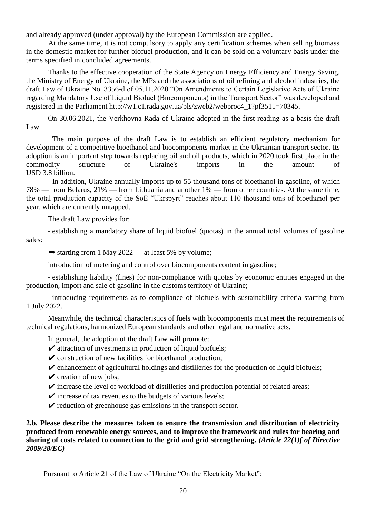and already approved (under approval) by the European Commission are applied.

At the same time, it is not compulsory to apply any certification schemes when selling biomass in the domestic market for further biofuel production, and it can be sold on a voluntary basis under the terms specified in concluded agreements.

Thanks to the effective cooperation of the State Agency on Energy Efficiency and Energy Saving, the Ministry of Energy of Ukraine, the MPs and the associations of oil refining and alcohol industries, the draft Law of Ukraine No. 3356-d of 05.11.2020 "On Amendments to Certain Legislative Acts of Ukraine regarding Mandatory Use of Liquid Biofuel (Biocomponents) in the Transport Sector" was developed and registered in the Parliament [http://w1.c1.rada.gov.ua/pls/zweb2/webproc4\\_1?pf3511=70345.](http://w1.c1.rada.gov.ua/pls/zweb2/webproc4_1?pf3511=70345)

On 30.06.2021, the Verkhovna Rada of Ukraine adopted in the first reading as a basis the draft Law

The main purpose of the draft Law is to establish an efficient regulatory mechanism for development of a competitive bioethanol and biocomponents market in the Ukrainian transport sector. Its adoption is an important step towards replacing oil and oil products, which in 2020 took first place in the commodity structure of Ukraine's imports in the amount of USD 3.8 billion.

In addition, Ukraine annually imports up to 55 thousand tons of bioethanol in gasoline, of which 78% — from Belarus, 21% — from Lithuania and another 1% — from other countries. At the same time, the total production capacity of the SoE "Ukrspyrt" reaches about 110 thousand tons of bioethanol per year, which are currently untapped.

The draft Law provides for:

- establishing a mandatory share of liquid biofuel (quotas) in the annual total volumes of gasoline sales:

 $\rightarrow$  starting from 1 May 2022 — at least 5% by volume;

introduction of metering and control over biocomponents content in gasoline;

- establishing liability (fines) for non-compliance with quotas by economic entities engaged in the production, import and sale of gasoline in the customs territory of Ukraine;

- introducing requirements as to compliance of biofuels with sustainability criteria starting from 1 July 2022.

Meanwhile, the technical characteristics of fuels with biocomponents must meet the requirements of technical regulations, harmonized European standards and other legal and normative acts.

In general, the adoption of the draft Law will promote:

- $\triangleright$  attraction of investments in production of liquid biofuels;
- $\triangleright$  construction of new facilities for bioethanol production;
- $\triangleright$  enhancement of agricultural holdings and distilleries for the production of liquid biofuels;
- $\vee$  creation of new jobs;
- $\triangledown$  increase the level of workload of distilleries and production potential of related areas;
- $\triangleright$  increase of tax revenues to the budgets of various levels;
- $\triangleright$  reduction of greenhouse gas emissions in the transport sector.

**2.b. Please describe the measures taken to ensure the transmission and distribution of electricity produced from renewable energy sources, and to improve the framework and rules for bearing and sharing of costs related to connection to the grid and grid strengthening.** *(Article 22(1)f of Directive 2009/28/EC)*

Pursuant to Article 21 of the Law of Ukraine "On the Electricity Market":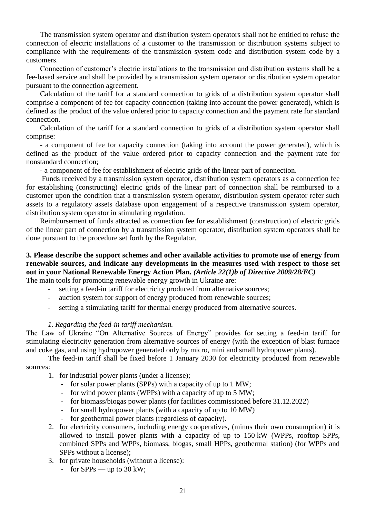The transmission system operator and distribution system operators shall not be entitled to refuse the connection of electric installations of a customer to the transmission or distribution systems subject to compliance with the requirements of the transmission system code and distribution system code by a customers.

Connection of customer's electric installations to the transmission and distribution systems shall be a fee-based service and shall be provided by a transmission system operator or distribution system operator pursuant to the connection agreement.

Calculation of the tariff for a standard connection to grids of a distribution system operator shall comprise a component of fee for capacity connection (taking into account the power generated), which is defined as the product of the value ordered prior to capacity connection and the payment rate for standard connection.

Calculation of the tariff for a standard connection to grids of a distribution system operator shall comprise:

- a component of fee for capacity connection (taking into account the power generated), which is defined as the product of the value ordered prior to capacity connection and the payment rate for nonstandard connection;

- a component of fee for establishment of electric grids of the linear part of connection.

Funds received by a transmission system operator, distribution system operators as a connection fee for establishing (constructing) electric grids of the linear part of connection shall be reimbursed to a customer upon the condition that a transmission system operator, distribution system operator refer such assets to a regulatory assets database upon engagement of a respective transmission system operator, distribution system operator in stimulating regulation.

Reimbursement of funds attracted as connection fee for establishment (construction) of electric grids of the linear part of connection by a transmission system operator, distribution system operators shall be done pursuant to the procedure set forth by the Regulator.

#### **3. Please describe the support schemes and other available activities to promote use of energy from renewable sources, and indicate any developments in the measures used with respect to those set out in your National Renewable Energy Action Plan.** *(Article 22(1)b of Directive 2009/28/EC)* The main tools for promoting renewable energy growth in Ukraine are:

- 
- setting a feed-in tariff for electricity produced from alternative sources;
- auction system for support of energy produced from renewable sources;
- setting a stimulating tariff for thermal energy produced from alternative sources.

#### *1. Regarding the feed-in tariff mechanism.*

The Law of Ukraine "On Alternative Sources of Energy" provides for setting a feed-in tariff for stimulating electricity generation from alternative sources of energy (with the exception of blast furnace and coke gas, and using hydropower generated only by micro, mini and small hydropower plants).

The feed-in tariff shall be fixed before 1 January 2030 for electricity produced from renewable sources:

- 1. for industrial power plants (under a license);
	- for solar power plants (SPPs) with a capacity of up to 1 MW;
	- for wind power plants (WPPs) with a capacity of up to 5 MW;
	- for biomass/biogas power plants (for facilities commissioned before 31.12.2022)
	- for small hydropower plants (with a capacity of up to 10 MW)
	- for geothermal power plants (regardless of capacity).
- 2. for electricity consumers, including energy cooperatives, (minus their own consumption) it is allowed to install power plants with a capacity of up to 150 kW (WPPs, rooftop SPPs, combined SPPs and WPPs, biomass, biogas, small HPPs, geothermal station) (for WPPs and SPPs without a license);
- 3. for private households (without a license):
	- for  $SPPs$  up to 30 kW;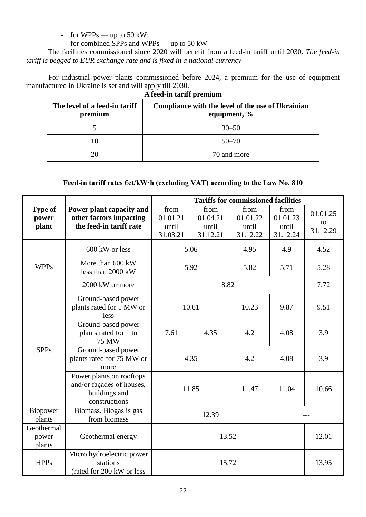- for  $WPPs$  — up to 50 kW;

- for combined SPPs and WPPs — up to 50 kW

The facilities commissioned since 2020 will benefit from a feed-in tariff until 2030. *The feed-in tariff is pegged to EUR exchange rate and is fixed in a national currency*

For industrial power plants commissioned before 2024, a premium for the use of equipment manufactured in Ukraine is set and will apply till 2030.

| A feed-in tariff premium                 |                                                                   |  |  |  |
|------------------------------------------|-------------------------------------------------------------------|--|--|--|
| The level of a feed-in tariff<br>premium | Compliance with the level of the use of Ukrainian<br>equipment, % |  |  |  |
|                                          | $30 - 50$                                                         |  |  |  |
|                                          | $50 - 70$                                                         |  |  |  |
| 20                                       | 70 and more                                                       |  |  |  |

# **Feed-in tariff rates €ct/kW·h (excluding VAT) according to the Law No. 810**

|                                  |                                                                                         |                                       |                                       | <b>Tariffs for commissioned facilities</b> |                                       |                            |
|----------------------------------|-----------------------------------------------------------------------------------------|---------------------------------------|---------------------------------------|--------------------------------------------|---------------------------------------|----------------------------|
| <b>Type of</b><br>power<br>plant | Power plant capacity and<br>other factors impacting<br>the feed-in tariff rate          | from<br>01.01.21<br>until<br>31.03.21 | from<br>01.04.21<br>until<br>31.12.21 | from<br>01.01.22<br>until<br>31.12.22      | from<br>01.01.23<br>until<br>31.12.24 | 01.01.25<br>to<br>31.12.29 |
|                                  | 600 kW or less                                                                          |                                       | 5.06                                  | 4.95                                       | 4.9                                   | 4.52                       |
| <b>WPPs</b>                      | More than 600 kW<br>less than 2000 kW                                                   |                                       | 5.92                                  | 5.82                                       | 5.71                                  | 5.28                       |
|                                  | 2000 kW or more                                                                         | 8.82                                  |                                       |                                            |                                       | 7.72                       |
|                                  | Ground-based power<br>plants rated for 1 MW or<br>less                                  | 10.61                                 |                                       | 10.23                                      | 9.87                                  | 9.51                       |
| <b>SPPs</b>                      | Ground-based power<br>plants rated for 1 to<br><b>75 MW</b>                             | 7.61                                  | 4.35                                  | 4.2                                        | 4.08                                  | 3.9                        |
|                                  | Ground-based power<br>plants rated for 75 MW or<br>more                                 | 4.35                                  |                                       | 4.2                                        | 4.08                                  | 3.9                        |
|                                  | Power plants on rooftops<br>and/or façades of houses,<br>buildings and<br>constructions | 11.85                                 |                                       | 11.47                                      | 11.04                                 | 10.66                      |
| Biopower<br>plants               | Biomass. Biogas is gas<br>from biomass                                                  | 12.39                                 |                                       |                                            | ---                                   |                            |
| Geothermal<br>power<br>plants    | Geothermal energy                                                                       | 13.52                                 |                                       | 12.01                                      |                                       |                            |
| <b>HPPs</b>                      | Micro hydroelectric power<br>stations<br>(rated for 200 kW or less                      |                                       | 15.72                                 |                                            |                                       | 13.95                      |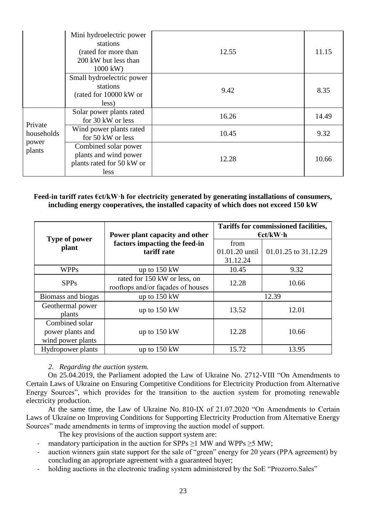|                                          | Mini hydroelectric power<br>stations<br>(rated for more than<br>200 kW but less than<br>1000 kW) | 12.55 | 11.15 |
|------------------------------------------|--------------------------------------------------------------------------------------------------|-------|-------|
|                                          | Small hydroelectric power<br>stations<br>(rated for 10000 kW or<br>less)                         | 9.42  | 8.35  |
| Private<br>households<br>power<br>plants | Solar power plants rated<br>for 30 kW or less                                                    | 16.26 | 14.49 |
|                                          | Wind power plants rated<br>for 50 kW or less                                                     | 10.45 | 9.32  |
|                                          | Combined solar power<br>plants and wind power<br>plants rated for 50 kW or<br>less               | 12.28 | 10.66 |

### **Feed-in tariff rates €ct/kW·h for electricity generated by generating installations of consumers, including energy cooperatives, the installed capacity of which does not exceed 150 kW**

|                                                         | Power plant capacity and other                                    | <b>Tariffs for commissioned facilities,</b><br>$\epsilon$ ct/kW $\cdot$ h |                      |  |
|---------------------------------------------------------|-------------------------------------------------------------------|---------------------------------------------------------------------------|----------------------|--|
| Type of power<br>plant                                  | factors impacting the feed-in<br>tariff rate                      | from<br>01.01.20 until<br>31.12.24                                        | 01.01.25 to 31.12.29 |  |
| <b>WPPs</b>                                             | up to $150 \text{ kW}$                                            | 10.45                                                                     | 9.32                 |  |
| <b>SPPs</b>                                             | rated for 150 kW or less, on<br>rooftops and/or façades of houses | 12.28                                                                     | 10.66                |  |
| Biomass and biogas                                      | up to $150 \text{ kW}$                                            | 12.39                                                                     |                      |  |
| Geothermal power<br>plants                              | up to $150 \text{ kW}$                                            | 13.52                                                                     | 12.01                |  |
| Combined solar<br>power plants and<br>wind power plants | up to $150 \text{ kW}$                                            | 12.28                                                                     | 10.66                |  |
| <b>Hydropower plants</b>                                | up to $150 \text{ kW}$                                            | 15.72                                                                     | 13.95                |  |

*2. Regarding the auction system.* 

On 25.04.2019, the Parliament adopted the Law of Ukraine No. 2712-VIII "On Amendments to Certain Laws of Ukraine on Ensuring Competitive Conditions for Electricity Production from Alternative Energy Sources", which provides for the transition to the auction system for promoting renewable electricity production.

At the same time, the Law of Ukraine No. 810-ІХ of 21.07.2020 "On Amendments to Certain Laws of Ukraine on Improving Conditions for Supporting Electricity Production from Alternative Energy Sources" made amendments in terms of improving the auction model of support.

The key provisions of the auction support system are:

- mandatory participation in the auction for SPPs  $\geq$ 1 MW and WPPs  $\geq$ 5 MW;
- auction winners gain state support for the sale of "green" energy for 20 years (PPA agreement) by concluding an appropriate agreement with a guaranteed buyer;
- holding auctions in the electronic trading system administered by the SoE "Prozorro. Sales"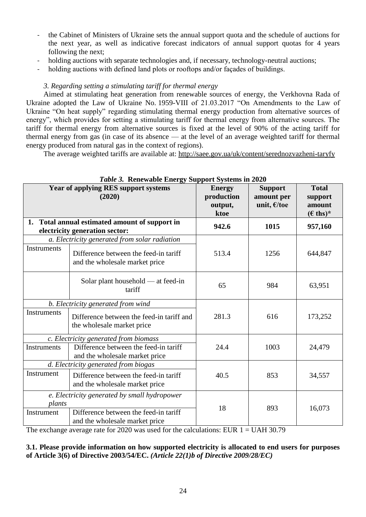- the Cabinet of Ministers of Ukraine sets the annual support quota and the schedule of auctions for the next year, as well as indicative forecast indicators of annual support quotas for 4 years following the next;
- holding auctions with separate technologies and, if necessary, technology-neutral auctions;
- holding auctions with defined land plots or rooftops and/or facades of buildings.

# *3. Regarding setting a stimulating tariff for thermal energy*

Aimed at stimulating heat generation from renewable sources of energy, the Verkhovna Rada of Ukraine adopted the Law of Ukraine No. 1959-VIII of 21.03.2017 "On Amendments to the Law of Ukraine "On heat supply" regarding stimulating thermal energy production from alternative sources of energy", which provides for setting a stimulating tariff for thermal energy from alternative sources. The tariff for thermal energy from alternative sources is fixed at the level of 90% of the acting tariff for thermal energy from gas (in case of its absence — at the level of an average weighted tariff for thermal energy produced from natural gas in the context of regions).

The average weighted tariffs are available at:<http://saee.gov.ua/uk/content/serednozvazheni-taryfy>

|                                                                                        | <i>raon 5.</i> Kenewable Energy Bupport Bystems in 2020                          |                                                |                                                | <b>Total</b>                           |  |
|----------------------------------------------------------------------------------------|----------------------------------------------------------------------------------|------------------------------------------------|------------------------------------------------|----------------------------------------|--|
| <b>Year of applying RES support systems</b><br>(2020)                                  |                                                                                  | <b>Energy</b><br>production<br>output,<br>ktoe | <b>Support</b><br>amount per<br>unit, $E$ /toe | support<br>amount<br>$(\epsilon$ ths)* |  |
|                                                                                        | 1. Total annual estimated amount of support in<br>electricity generation sector: | 942.6                                          | 1015                                           | 957,160                                |  |
|                                                                                        | a. Electricity generated from solar radiation                                    |                                                |                                                |                                        |  |
| <b>Instruments</b>                                                                     | Difference between the feed-in tariff<br>and the wholesale market price          | 513.4                                          | 1256                                           | 644,847                                |  |
|                                                                                        | Solar plant household — at feed-in<br>tariff                                     | 65                                             | 984                                            | 63,951                                 |  |
|                                                                                        | b. Electricity generated from wind                                               |                                                |                                                |                                        |  |
| Instruments<br>Difference between the feed-in tariff and<br>the wholesale market price |                                                                                  | 281.3                                          | 616                                            | 173,252                                |  |
|                                                                                        | c. Electricity generated from biomass                                            |                                                |                                                |                                        |  |
| <b>Instruments</b>                                                                     | Difference between the feed-in tariff<br>and the wholesale market price          | 24.4                                           | 1003                                           | 24,479                                 |  |
|                                                                                        | d. Electricity generated from biogas                                             |                                                |                                                |                                        |  |
| Instrument                                                                             | Difference between the feed-in tariff<br>and the wholesale market price          | 40.5                                           | 853                                            | 34,557                                 |  |
| e. Electricity generated by small hydropower                                           |                                                                                  |                                                |                                                |                                        |  |
| plants                                                                                 |                                                                                  | 18                                             | 893                                            |                                        |  |
| Instrument                                                                             | Difference between the feed-in tariff<br>and the wholesale market price          |                                                |                                                | 16,073                                 |  |

# *Table 3.* **Renewable Energy Support Systems in 2020**

The exchange average rate for 2020 was used for the calculations: EUR  $1 =$  UAH 30.79

**3.1. Please provide information on how supported electricity is allocated to end users for purposes of Article 3(6) of Directive 2003/54/EC.** *(Article 22(1)b of Directive 2009/28/EC)*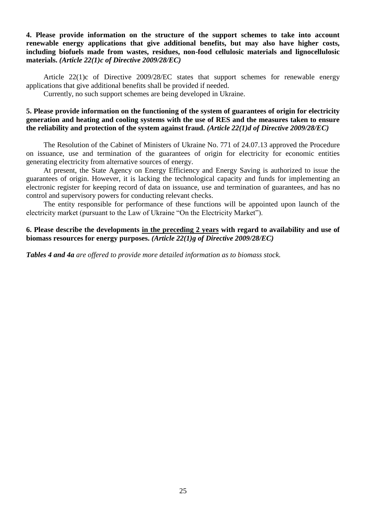## **4. Please provide information on the structure of the support schemes to take into account renewable energy applications that give additional benefits, but may also have higher costs, including biofuels made from wastes, residues, non-food cellulosic materials and lignocellulosic materials.** *(Article 22(1)c of Directive 2009/28/EC)*

Article 22(1)c of Directive 2009/28/EC states that support schemes for renewable energy applications that give additional benefits shall be provided if needed.

Currently, no such support schemes are being developed in Ukraine.

### **5. Please provide information on the functioning of the system of guarantees of origin for electricity generation and heating and cooling systems with the use of RES and the measures taken to ensure the reliability and protection of the system against fraud.** *(Article 22(1)d of Directive 2009/28/EC)*

The Resolution of the Cabinet of Ministers of Ukraine No. 771 of 24.07.13 approved the Procedure on issuance, use and termination of the guarantees of origin for electricity for economic entities generating electricity from alternative sources of energy.

At present, the State Agency on Energy Efficiency and Energy Saving is authorized to issue the guarantees of origin. However, it is lacking the technological capacity and funds for implementing an electronic register for keeping record of data on issuance, use and termination of guarantees, and has no control and supervisory powers for conducting relevant checks.

The entity responsible for performance of these functions will be appointed upon launch of the electricity market (pursuant to the Law of Ukraine "On the Electricity Market").

## **6. Please describe the developments in the preceding 2 years with regard to availability and use of biomass resources for energy purposes.** *(Article 22(1)g of Directive 2009/28/EC)*

*Tables 4 and 4a are offered to provide more detailed information as to biomass stock.*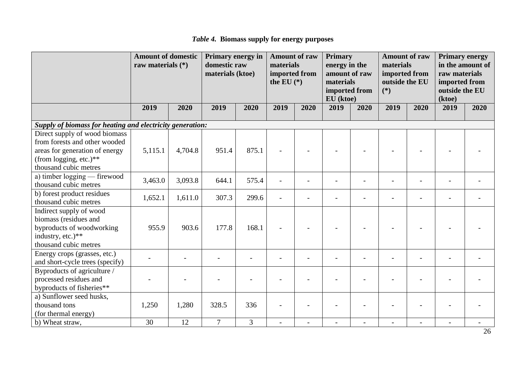*Table 4.* **Biomass supply for energy purposes** 

|                                                                                                                                                     | <b>Amount of domestic</b><br>raw materials $(*)$ |         | Primary energy in<br>domestic raw<br>materials (ktoe) |       | <b>Amount of raw</b><br>materials<br>imported from<br>the EU $(*)$ |      | <b>Primary</b><br>energy in the<br>amount of raw<br>materials<br>imported from<br>EU (ktoe) |      | <b>Amount of raw</b><br>materials<br>imported from<br>outside the EU<br>$(*)$ |      | <b>Primary energy</b><br>in the amount of<br>raw materials<br>imported from<br>outside the EU<br>(ktoe) |      |
|-----------------------------------------------------------------------------------------------------------------------------------------------------|--------------------------------------------------|---------|-------------------------------------------------------|-------|--------------------------------------------------------------------|------|---------------------------------------------------------------------------------------------|------|-------------------------------------------------------------------------------|------|---------------------------------------------------------------------------------------------------------|------|
|                                                                                                                                                     | 2019                                             | 2020    | 2019                                                  | 2020  | 2019                                                               | 2020 | 2019                                                                                        | 2020 | 2019                                                                          | 2020 | 2019                                                                                                    | 2020 |
| Supply of biomass for heating and electricity generation:                                                                                           |                                                  |         |                                                       |       |                                                                    |      |                                                                                             |      |                                                                               |      |                                                                                                         |      |
| Direct supply of wood biomass<br>from forests and other wooded<br>areas for generation of energy<br>(from logging, etc.)**<br>thousand cubic metres | 5,115.1                                          | 4,704.8 | 951.4                                                 | 875.1 |                                                                    |      |                                                                                             |      |                                                                               |      |                                                                                                         |      |
| a) timber logging — firewood<br>thousand cubic metres                                                                                               | 3,463.0                                          | 3,093.8 | 644.1                                                 | 575.4 |                                                                    |      |                                                                                             |      |                                                                               |      |                                                                                                         |      |
| b) forest product residues<br>thousand cubic metres                                                                                                 | 1,652.1                                          | 1,611.0 | 307.3                                                 | 299.6 |                                                                    |      |                                                                                             |      |                                                                               |      |                                                                                                         |      |
| Indirect supply of wood<br>biomass (residues and<br>byproducts of woodworking<br>industry, etc.)**<br>thousand cubic metres                         | 955.9                                            | 903.6   | 177.8                                                 | 168.1 |                                                                    |      |                                                                                             |      |                                                                               |      |                                                                                                         |      |
| Energy crops (grasses, etc.)<br>and short-cycle trees (specify)                                                                                     |                                                  |         |                                                       |       |                                                                    |      |                                                                                             |      |                                                                               |      |                                                                                                         |      |
| Byproducts of agriculture /<br>processed residues and<br>byproducts of fisheries**                                                                  |                                                  |         |                                                       |       |                                                                    |      |                                                                                             |      |                                                                               |      |                                                                                                         |      |
| a) Sunflower seed husks,<br>thousand tons<br>(for thermal energy)                                                                                   | 1,250                                            | 1,280   | 328.5                                                 | 336   |                                                                    |      |                                                                                             |      |                                                                               |      |                                                                                                         |      |
| b) Wheat straw,                                                                                                                                     | 30                                               | 12      | $\overline{7}$                                        | 3     | $\overline{a}$                                                     |      |                                                                                             |      |                                                                               |      |                                                                                                         |      |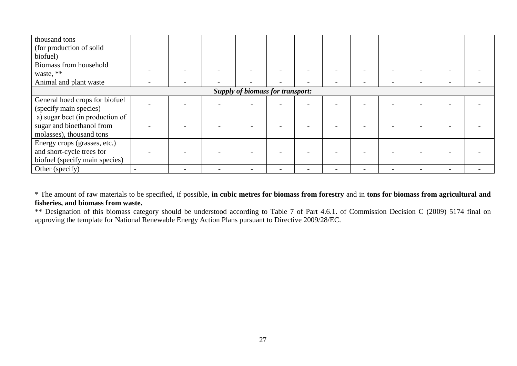| thousand tons<br>(for production of solid<br>biofuel)                                       |                          |  |  |  |  |  |  |  |  |                          |  |
|---------------------------------------------------------------------------------------------|--------------------------|--|--|--|--|--|--|--|--|--------------------------|--|
| Biomass from household                                                                      |                          |  |  |  |  |  |  |  |  |                          |  |
| waste, **                                                                                   |                          |  |  |  |  |  |  |  |  |                          |  |
| Animal and plant waste                                                                      | $\overline{\phantom{0}}$ |  |  |  |  |  |  |  |  | $\overline{\phantom{0}}$ |  |
| <b>Supply of biomass for transport:</b>                                                     |                          |  |  |  |  |  |  |  |  |                          |  |
| General hoed crops for biofuel<br>(specify main species)                                    |                          |  |  |  |  |  |  |  |  |                          |  |
| a) sugar beet (in production of<br>sugar and bioethanol from<br>molasses), thousand tons    |                          |  |  |  |  |  |  |  |  |                          |  |
| Energy crops (grasses, etc.)<br>and short-cycle trees for<br>biofuel (specify main species) |                          |  |  |  |  |  |  |  |  |                          |  |
| Other (specify)                                                                             |                          |  |  |  |  |  |  |  |  |                          |  |

\* The amount of raw materials to be specified, if possible, **in cubic metres for biomass from forestry** and in **tons for biomass from agricultural and fisheries, and biomass from waste.**

\*\* Designation of this biomass category should be understood according to Table 7 of Part 4.6.1. of Commission Decision C (2009) 5174 final on approving the template for National Renewable Energy Action Plans pursuant to Directive 2009/28/EC.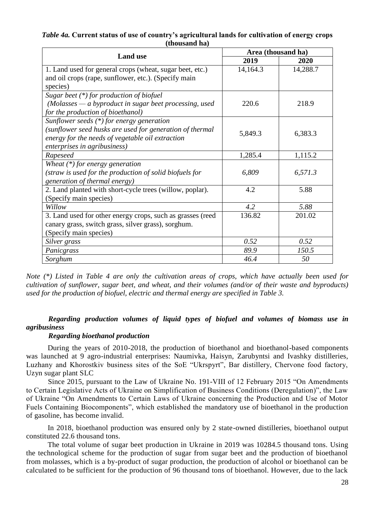|                                                            | Area (thousand ha) |          |  |  |  |
|------------------------------------------------------------|--------------------|----------|--|--|--|
| <b>Land use</b>                                            | 2019               | 2020     |  |  |  |
| 1. Land used for general crops (wheat, sugar beet, etc.)   | 14,164.3           | 14,288.7 |  |  |  |
| and oil crops (rape, sunflower, etc.). (Specify main       |                    |          |  |  |  |
| species)                                                   |                    |          |  |  |  |
| Sugar beet $(*)$ for production of biofuel                 |                    |          |  |  |  |
| $(Molasses - a byproduct in sugar beef processing, used)$  | 220.6              | 218.9    |  |  |  |
| for the production of bioethanol)                          |                    |          |  |  |  |
| Sunflower seeds $(*)$ for energy generation                |                    |          |  |  |  |
| (sunflower seed husks are used for generation of thermal   | 5,849.3            | 6,383.3  |  |  |  |
| energy for the needs of vegetable oil extraction           |                    |          |  |  |  |
| enterprises in agribusiness)                               |                    |          |  |  |  |
| Rapeseed                                                   | 1,285.4            | 1,115.2  |  |  |  |
| Wheat $(*)$ for energy generation                          |                    |          |  |  |  |
| (straw is used for the production of solid biofuels for    | 6,809              | 6,571.3  |  |  |  |
| generation of thermal energy)                              |                    |          |  |  |  |
| 2. Land planted with short-cycle trees (willow, poplar).   | 4.2                | 5.88     |  |  |  |
| (Specify main species)                                     |                    |          |  |  |  |
| Willow                                                     | 4.2                | 5.88     |  |  |  |
| 3. Land used for other energy crops, such as grasses (reed | 136.82             | 201.02   |  |  |  |
| canary grass, switch grass, silver grass), sorghum.        |                    |          |  |  |  |
| (Specify main species)                                     |                    |          |  |  |  |
| Silver grass                                               | 0.52               | 0.52     |  |  |  |
| Panicgrass                                                 | 89.9               | 150.5    |  |  |  |
| Sorghum                                                    | 46.4               | 50       |  |  |  |

*Table 4a.* **Current status of use of country's agricultural lands for cultivation of energy crops (thousand ha)**

*Note (\*) Listed in Table 4 are only the cultivation areas of crops, which have actually been used for cultivation of sunflower, sugar beet, and wheat, and their volumes (and/or of their waste and byproducts) used for the production of biofuel, electric and thermal energy are specified in Table 3.*

## *Regarding production volumes of liquid types of biofuel and volumes of biomass use in agribusiness*

#### *Regarding bioethanol production*

During the years of 2010-2018, the production of bioethanol and bioethanol-based components was launched at 9 agro-industrial enterprises: Naumivka, Haisyn, Zarubyntsi and Ivashky distilleries, Luzhany and Khorostkiv business sites of the SoE "Ukrspyrt", Bar distillery, Chervone food factory, Uzyn sugar plant SLC

Since 2015, pursuant to the Law of Ukraine No. 191-VIII of 12 February 2015 "On Amendments to Certain Legislative Acts of Ukraine on Simplification of Business Conditions (Deregulation)", the Law of Ukraine "On Amendments to Certain Laws of Ukraine concerning the Production and Use of Motor Fuels Containing Biocomponents", which established the mandatory use of bioethanol in the production of gasoline, has become invalid.

In 2018, bioethanol production was ensured only by 2 state-owned distilleries, bioethanol output constituted 22.6 thousand tons.

The total volume of sugar beet production in Ukraine in 2019 was 10284.5 thousand tons. Using the technological scheme for the production of sugar from sugar beet and the production of bioethanol from molasses, which is a by-product of sugar production, the production of alcohol or bioethanol can be calculated to be sufficient for the production of 96 thousand tons of bioethanol. However, due to the lack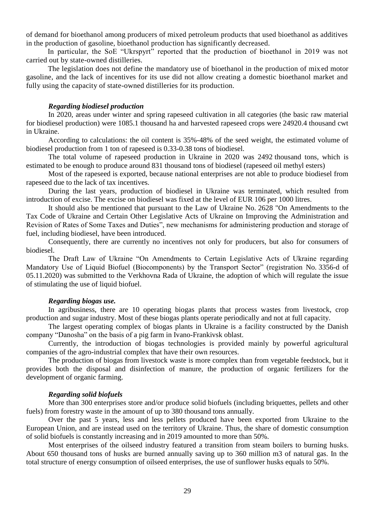of demand for bioethanol among producers of mixed petroleum products that used bioethanol as additives in the production of gasoline, bioethanol production has significantly decreased.

In particular, the SoE "Ukrspyrt" reported that the production of bioethanol in 2019 was not carried out by state-owned distilleries.

The legislation does not define the mandatory use of bioethanol in the production of mixed motor gasoline, and the lack of incentives for its use did not allow creating a domestic bioethanol market and fully using the capacity of state-owned distilleries for its production.

#### *Regarding biodiesel production*

In 2020, areas under winter and spring rapeseed cultivation in all categories (the basic raw material for biodiesel production) were 1085.1 thousand ha and harvested rapeseed crops were 24920.4 thousand cwt in Ukraine.

According to calculations: the oil content is 35%-48% of the seed weight, the estimated volume of biodiesel production from 1 ton of rapeseed is 0.33-0.38 tons of biodiesel.

The total volume of rapeseed production in Ukraine in 2020 was 2492 thousand tons, which is estimated to be enough to produce around 831 thousand tons of biodiesel (rapeseed oil methyl esters)

Most of the rapeseed is exported, because national enterprises are not able to produce biodiesel from rapeseed due to the lack of tax incentives.

During the last years, production of biodiesel in Ukraine was terminated, which resulted from introduction of excise. The excise on biodiesel was fixed at the level of EUR 106 per 1000 litres.

It should also be mentioned that pursuant to the Law of Ukraine No. 2628 "On Amendments to the Tax Code of Ukraine and Certain Other Legislative Acts of Ukraine on Improving the Administration and Revision of Rates of Some Taxes and Duties", new mechanisms for administering production and storage of fuel, including biodiesel, have been introduced.

Consequently, there are currently no incentives not only for producers, but also for consumers of biodiesel.

The Draft Law of Ukraine "On Amendments to Certain Legislative Acts of Ukraine regarding Mandatory Use of Liquid Biofuel (Biocomponents) by the Transport Sector" (registration No. 3356-d of 05.11.2020) was submitted to the Verkhovna Rada of Ukraine, the adoption of which will regulate the issue of stimulating the use of liquid biofuel.

#### *Regarding biogas use.*

In agribusiness, there are 10 operating biogas plants that process wastes from livestock, crop production and sugar industry. Most of these biogas plants operate periodically and not at full capacity.

The largest operating complex of biogas plants in Ukraine is a facility constructed by the Danish company "Danosha" on the basis of a pig farm in Ivano-Frankivsk oblast.

Currently, the introduction of biogas technologies is provided mainly by powerful agricultural companies of the agro-industrial complex that have their own resources.

The production of biogas from livestock waste is more complex than from vegetable feedstock, but it provides both the disposal and disinfection of manure, the production of organic fertilizers for the development of organic farming.

#### *Regarding solid biofuels*

More than 300 enterprises store and/or produce solid biofuels (including briquettes, pellets and other fuels) from forestry waste in the amount of up to 380 thousand tons annually.

Over the past 5 years, less and less pellets produced have been exported from Ukraine to the European Union, and are instead used on the territory of Ukraine. Thus, the share of domestic consumption of solid biofuels is constantly increasing and in 2019 amounted to more than 50%.

Most enterprises of the oilseed industry featured a transition from steam boilers to burning husks. About 650 thousand tons of husks are burned annually saving up to 360 million m3 of natural gas. In the total structure of energy consumption of oilseed enterprises, the use of sunflower husks equals to 50%.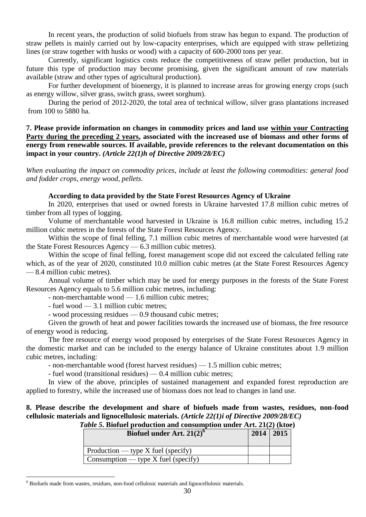In recent years, the production of solid biofuels from straw has begun to expand. The production of straw pellets is mainly carried out by low-capacity enterprises, which are equipped with straw pelletizing lines (or straw together with husks or wood) with a capacity of 600-2000 tons per year.

Currently, significant logistics costs reduce the competitiveness of straw pellet production, but in future this type of production may become promising, given the significant amount of raw materials available (straw and other types of agricultural production).

For further development of bioenergy, it is planned to increase areas for growing energy crops (such as energy willow, silver grass, switch grass, sweet sorghum).

During the period of 2012-2020, the total area of technical willow, silver grass plantations increased from 100 to 5880 ha.

**7. Please provide information on changes in commodity prices and land use within your Contracting Party during the preceding 2 years, associated with the increased use of biomass and other forms of energy from renewable sources. If available, provide references to the relevant documentation on this impact in your country.** *(Article 22(1)h of Directive 2009/28/EC)*

*When evaluating the impact on commodity prices, include at least the following commodities: general food and fodder crops, energy wood, pellets.*

#### **According to data provided by the State Forest Resources Agency of Ukraine**

In 2020, enterprises that used or owned forests in Ukraine harvested 17.8 million cubic metres of timber from all types of logging.

Volume of merchantable wood harvested in Ukraine is 16.8 million cubic metres, including 15.2 million cubic metres in the forests of the State Forest Resources Agency.

Within the scope of final felling, 7.1 million cubic metres of merchantable wood were harvested (at the State Forest Resources Agency — 6.3 million cubic metres).

Within the scope of final felling, forest management scope did not exceed the calculated felling rate which, as of the year of 2020, constituted 10.0 million cubic metres (at the State Forest Resources Agency — 8.4 million cubic metres).

Annual volume of timber which may be used for energy purposes in the forests of the State Forest Resources Agency equals to 5.6 million cubic metres, including:

- non-merchantable wood — 1.6 million cubic metres;

- fuel wood — 3.1 million cubic metres;

- wood processing residues — 0.9 thousand cubic metres;

Given the growth of heat and power facilities towards the increased use of biomass, the free resource of energy wood is reducing.

The free resource of energy wood proposed by enterprises of the State Forest Resources Agency in the domestic market and can be included to the energy balance of Ukraine constitutes about 1.9 million cubic metres, including:

- non-merchantable wood (forest harvest residues) — 1.5 million cubic metres;

- fuel wood (transitional residues) — 0.4 million cubic metres;

In view of the above, principles of sustained management and expanded forest reproduction are applied to forestry, while the increased use of biomass does not lead to changes in land use.

# **8. Please describe the development and share of biofuels made from wastes, residues, non-food cellulosic materials and lignocellulosic materials.** *(Article 22(1)i of Directive 2009/28/EC)*

| Table 5. Biofuel production and consumption under Art. 21(2) (ktoe) |                                  |  |  |
|---------------------------------------------------------------------|----------------------------------|--|--|
|                                                                     | $P'$ $P$ $I$ $I$ $A$ $A$ $A$ $A$ |  |  |

| Biofuel under Art. $21(2)^6$         | $2014 \mid 2015$ |  |
|--------------------------------------|------------------|--|
| Production — type $X$ fuel (specify) |                  |  |
| Consumption — type X fuel (specify)  |                  |  |

 $\overline{a}$ <sup>6</sup> Biofuels made from wastes, residues, non-food cellulosic materials and lignocellulosic materials.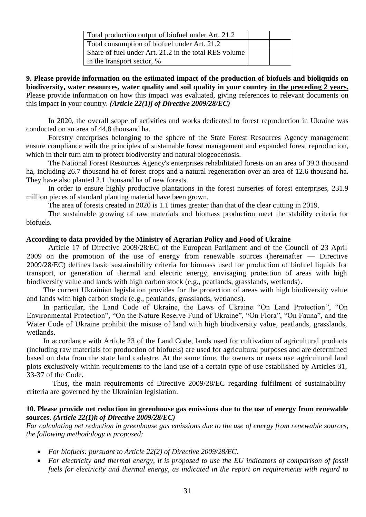| Total production output of biofuel under Art. 21.2    |  |
|-------------------------------------------------------|--|
| Total consumption of biofuel under Art. 21.2          |  |
| Share of fuel under Art. 21.2 in the total RES volume |  |
| in the transport sector, %                            |  |

**9. Please provide information on the estimated impact of the production of biofuels and bioliquids on biodiversity, water resources, water quality and soil quality in your country in the preceding 2 years.** Please provide information on how this impact was evaluated, giving references to relevant documents on this impact in your country. *(Article 22(1)j of Directive 2009/28/EC)*

In 2020, the overall scope of activities and works dedicated to forest reproduction in Ukraine was conducted on an area of 44,8 thousand ha.

Forestry enterprises belonging to the sphere of the State Forest Resources Agency management ensure compliance with the principles of sustainable forest management and expanded forest reproduction, which in their turn aim to protect biodiversity and natural biogeocenosis.

The National Forest Resources Agency's enterprises rehabilitated forests on an area of 39.3 thousand ha, including 26.7 thousand ha of forest crops and a natural regeneration over an area of 12.6 thousand ha. They have also planted 2.1 thousand ha of new forests.

In order to ensure highly productive plantations in the forest nurseries of forest enterprises, 231.9 million pieces of standard planting material have been grown.

The area of forests created in 2020 is 1.1 times greater than that of the clear cutting in 2019.

The sustainable growing of raw materials and biomass production meet the stability criteria for biofuels.

#### **According to data provided by the Ministry of Agrarian Policy and Food of Ukraine**

Article 17 of Directive 2009/28/EC of the European Parliament and of the Council of 23 April 2009 on the promotion of the use of energy from renewable sources (hereinafter — Directive 2009/28/EC) defines basic sustainability criteria for biomass used for production of biofuel liquids for transport, or generation of thermal and electric energy, envisaging protection of areas with high biodiversity value and lands with high carbon stock (e.g., peatlands, grasslands, wetlands).

The current Ukrainian legislation provides for the protection of areas with high biodiversity value and lands with high carbon stock (e.g., peatlands, grasslands, wetlands).

In particular, the Land Code of Ukraine, the Laws of Ukraine "On Land Protection", "On Environmental Protection", "On the Nature Reserve Fund of Ukraine", "On Flora", "On Fauna", and the Water Code of Ukraine prohibit the misuse of land with high biodiversity value, peatlands, grasslands, wetlands.

In accordance with Article 23 of the Land Code, lands used for cultivation of agricultural products (including raw materials for production of biofuels) are used for agricultural purposes and are determined based on data from the state land cadastre. At the same time, the owners or users use agricultural land plots exclusively within requirements to the land use of a certain type of use established by Articles 31, 33-37 of the Code.

Thus, the main requirements of Directive 2009/28/EC regarding fulfilment of sustainability criteria are governed by the Ukrainian legislation.

#### **10. Please provide net reduction in greenhouse gas emissions due to the use of energy from renewable sources.** *(Article 22(1)k of Directive 2009/28/EC)*

*For calculating net reduction in greenhouse gas emissions due to the use of energy from renewable sources, the following methodology is proposed:*

- *For biofuels: pursuant to Article 22(2) of Directive 2009/28/EC.*
- *For electricity and thermal energy, it is proposed to use the EU indicators of comparison of fossil fuels for electricity and thermal energy, as indicated in the report on requirements with regard to*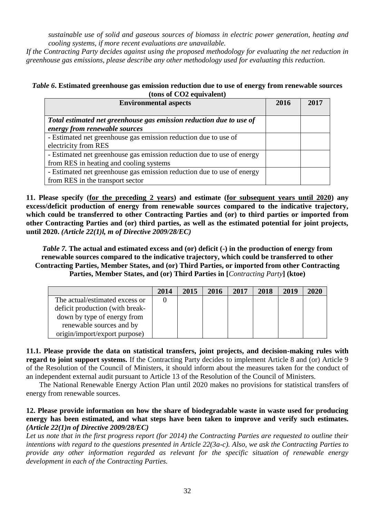*sustainable use of solid and gaseous sources of biomass in electric power generation, heating and cooling systems, if more recent evaluations are unavailable.*

*If the Contracting Party decides against using the proposed methodology for evaluating the net reduction in greenhouse gas emissions, please describe any other methodology used for evaluating this reduction.*

## *Table 6***. Estimated greenhouse gas emission reduction due to use of energy from renewable sources (tons of CO2 equivalent)**

| <b>Environmental aspects</b>                                                                                      | 2016 | 2017 |
|-------------------------------------------------------------------------------------------------------------------|------|------|
| Total estimated net greenhouse gas emission reduction due to use of<br>energy from renewable sources              |      |      |
| - Estimated net greenhouse gas emission reduction due to use of<br>electricity from RES                           |      |      |
| - Estimated net greenhouse gas emission reduction due to use of energy<br>from RES in heating and cooling systems |      |      |
| - Estimated net greenhouse gas emission reduction due to use of energy<br>from RES in the transport sector        |      |      |

**11. Please specify (for the preceding 2 years) and estimate (for subsequent years until 2020) any excess/deficit production of energy from renewable sources compared to the indicative trajectory, which could be transferred to other Contracting Parties and (or) to third parties or imported from other Contracting Parties and (or) third parties, as well as the estimated potential for joint projects, until 2020.** *(Article 22(1)l, m of Directive 2009/28/EC)*

*Table 7.* **The actual and estimated excess and (or) deficit (-) in the production of energy from renewable sources compared to the indicative trajectory, which could be transferred to other Contracting Parties, Member States, and (or) Third Parties, or imported from other Contracting Parties, Member States, and (or) Third Parties in [***Contracting Party***] (ktoe)**

|                                 | 2014 | 2015 | 2016 | 2017 | 2018 | 2019 | 2020 |
|---------------------------------|------|------|------|------|------|------|------|
| The actual/estimated excess or  |      |      |      |      |      |      |      |
| deficit production (with break- |      |      |      |      |      |      |      |
| down by type of energy from     |      |      |      |      |      |      |      |
| renewable sources and by        |      |      |      |      |      |      |      |
| origin/import/export purpose)   |      |      |      |      |      |      |      |

**11.1. Please provide the data on statistical transfers, joint projects, and decision-making rules with regard to joint support systems.** If the Contracting Party decides to implement Article 8 and (or) Article 9 of the Resolution of the Council of Ministers, it should inform about the measures taken for the conduct of an independent external audit pursuant to Article 13 of the Resolution of the Council of Ministers.

The National Renewable Energy Action Plan until 2020 makes no provisions for statistical transfers of energy from renewable sources.

### **12. Please provide information on how the share of biodegradable waste in waste used for producing energy has been estimated, and what steps have been taken to improve and verify such estimates.** *(Article 22(1)n of Directive 2009/28/EC)*

*Let us note that in the first progress report (for 2014) the Contracting Parties are requested to outline their intentions with regard to the questions presented in Article 22(3a-c). Also, we ask the Contracting Parties to provide any other information regarded as relevant for the specific situation of renewable energy development in each of the Contracting Parties.*